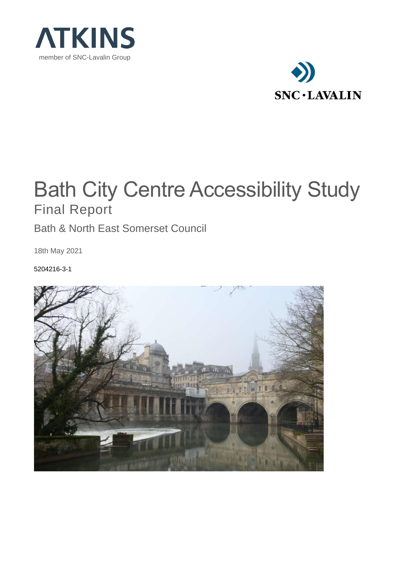



# Bath City Centre Accessibility Study Final Report

Bath & North East Somerset Council

18th May 2021

5204216-3-1

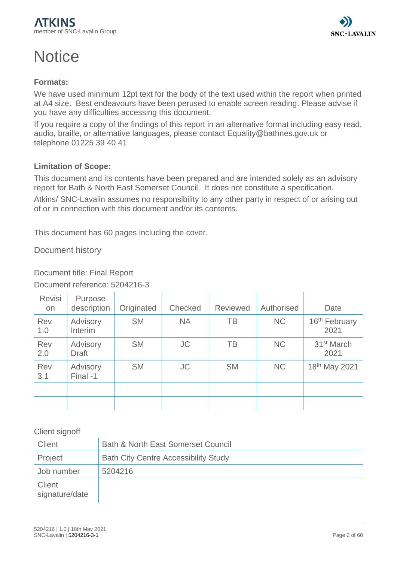# **Notice**



## **Formats:**

We have used minimum 12pt text for the body of the text used within the report when printed at A4 size. Best endeavours have been perused to enable screen reading. Please advise if you have any difficulties accessing this document.

If you require a copy of the findings of this report in an alternative format including easy read, audio, braille, or alternative languages, please contact Equality@bathnes.gov.uk or telephone 01225 39 40 41

## **Limitation of Scope:**

This document and its contents have been prepared and are intended solely as an advisory report for Bath & North East Somerset Council. It does not constitute a specification.

Atkins/ SNC-Lavalin assumes no responsibility to any other party in respect of or arising out of or in connection with this document and/or its contents.

This document has 60 pages including the cover.

Document history

Document title: Final Report

Document reference: 5204216-3

| <b>Revisi</b><br><b>on</b> | Purpose<br>description   | Originated | Checked   | <b>Reviewed</b> | Authorised | Date                              |
|----------------------------|--------------------------|------------|-----------|-----------------|------------|-----------------------------------|
| Rev<br>1.0                 | Advisory<br>Interim      | <b>SM</b>  | <b>NA</b> | <b>TB</b>       | <b>NC</b>  | 16 <sup>th</sup> February<br>2021 |
| Rev<br>2.0                 | Advisory<br><b>Draft</b> | <b>SM</b>  | <b>JC</b> | TB              | <b>NC</b>  | 31 <sup>st</sup> March<br>2021    |
| Rev<br>3.1                 | Advisory<br>Final -1     | <b>SM</b>  | <b>JC</b> | <b>SM</b>       | <b>NC</b>  | 18th May 2021                     |
|                            |                          |            |           |                 |            |                                   |
|                            |                          |            |           |                 |            |                                   |

Client signoff

| Client                   | <b>Bath &amp; North East Somerset Council</b> |
|--------------------------|-----------------------------------------------|
| Project                  | <b>Bath City Centre Accessibility Study</b>   |
| Job number               | 5204216                                       |
| Client<br>signature/date |                                               |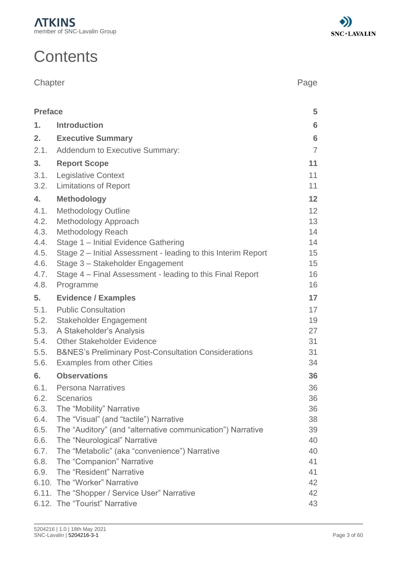# **Contents**

| Chapter | Page |
|---------|------|
|         |      |

| <b>Preface</b> |                                                                 | 5               |
|----------------|-----------------------------------------------------------------|-----------------|
| 1.             | <b>Introduction</b>                                             | $6\phantom{1}6$ |
| 2.             | <b>Executive Summary</b>                                        | $6\phantom{1}6$ |
| 2.1.           | <b>Addendum to Executive Summary:</b>                           | $\overline{7}$  |
| 3.             | <b>Report Scope</b>                                             | 11              |
| 3.1.           | <b>Legislative Context</b>                                      | 11              |
| 3.2.           | <b>Limitations of Report</b>                                    | 11              |
| 4.             | <b>Methodology</b>                                              | 12              |
| 4.1.           | <b>Methodology Outline</b>                                      | 12              |
| 4.2.           | Methodology Approach                                            | 13              |
| 4.3.           | <b>Methodology Reach</b>                                        | 14              |
| 4.4.           | Stage 1 - Initial Evidence Gathering                            | 14              |
| 4.5.           | Stage 2 – Initial Assessment - leading to this Interim Report   | 15              |
| 4.6.           | Stage 3 - Stakeholder Engagement                                | 15              |
| 4.7.           | Stage 4 - Final Assessment - leading to this Final Report       | 16              |
| 4.8.           | Programme                                                       | 16              |
| 5.             | <b>Evidence / Examples</b>                                      | 17              |
| 5.1.           | <b>Public Consultation</b>                                      | 17              |
| 5.2.           | Stakeholder Engagement                                          | 19              |
| 5.3.           | A Stakeholder's Analysis                                        | 27              |
| 5.4.           | <b>Other Stakeholder Evidence</b>                               | 31              |
| 5.5.           | <b>B&amp;NES's Preliminary Post-Consultation Considerations</b> | 31              |
| 5.6.           | <b>Examples from other Cities</b>                               | 34              |
| 6.             | <b>Observations</b>                                             | 36              |
| 6.1.           | <b>Persona Narratives</b>                                       | 36              |
|                | 6.2. Scenarios                                                  | 36              |
| 6.3.           | The "Mobility" Narrative                                        | 36              |
| 6.4.           | The "Visual" (and "tactile") Narrative                          | 38              |
| 6.5.           | The "Auditory" (and "alternative communication") Narrative      | 39              |
| 6.6.           | The "Neurological" Narrative                                    | 40              |
| 6.7.           | The "Metabolic" (aka "convenience") Narrative                   | 40              |
| 6.8.           | The "Companion" Narrative                                       | 41              |
| 6.9.           | The "Resident" Narrative                                        | 41              |
|                | 6.10. The "Worker" Narrative                                    | 42              |
|                | 6.11. The "Shopper / Service User" Narrative                    | 42              |
|                | 6.12. The "Tourist" Narrative                                   | 43              |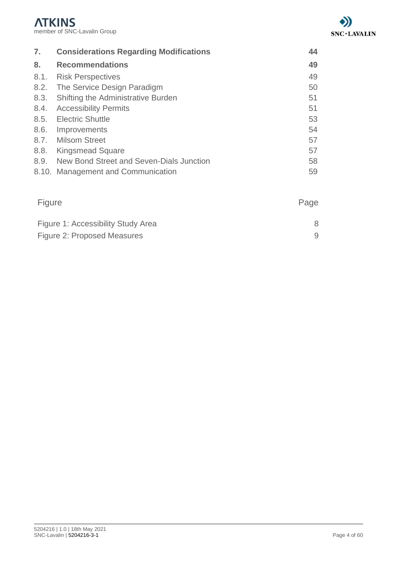

| 7.   | <b>Considerations Regarding Modifications</b> | 44 |
|------|-----------------------------------------------|----|
| 8.   | <b>Recommendations</b>                        | 49 |
| 8.1. | <b>Risk Perspectives</b>                      | 49 |
| 8.2. | The Service Design Paradigm                   | 50 |
| 8.3. | Shifting the Administrative Burden            | 51 |
| 8.4. | <b>Accessibility Permits</b>                  | 51 |
| 8.5. | <b>Electric Shuttle</b>                       | 53 |
| 8.6. | Improvements                                  | 54 |
|      | 8.7. Milsom Street                            | 57 |
| 8.8. | <b>Kingsmead Square</b>                       | 57 |
| 8.9. | New Bond Street and Seven-Dials Junction      | 58 |
|      | 8.10. Management and Communication            | 59 |

| Figure                             | Page |
|------------------------------------|------|
| Figure 1: Accessibility Study Area |      |
| Figure 2: Proposed Measures        |      |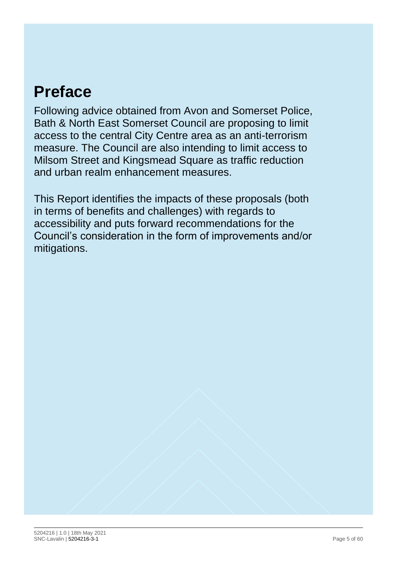# <span id="page-4-0"></span>**Preface**

Following advice obtained from Avon and Somerset Police, Bath & North East Somerset Council are proposing to limit access to the central City Centre area as an anti-terrorism measure. The Council are also intending to limit access to Milsom Street and Kingsmead Square as traffic reduction and urban realm enhancement measures.

This Report identifies the impacts of these proposals (both in terms of benefits and challenges) with regards to accessibility and puts forward recommendations for the Council's consideration in the form of improvements and/or mitigations.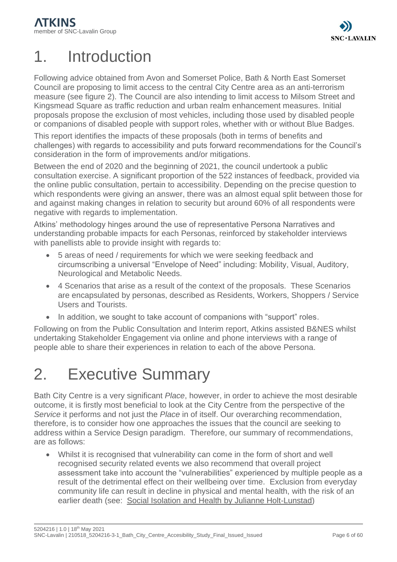# <span id="page-5-0"></span>1. Introduction

Following advice obtained from Avon and Somerset Police, Bath & North East Somerset Council are proposing to limit access to the central City Centre area as an anti-terrorism measure (see figure 2). The Council are also intending to limit access to Milsom Street and Kingsmead Square as traffic reduction and urban realm enhancement measures. Initial proposals propose the exclusion of most vehicles, including those used by disabled people or companions of disabled people with support roles, whether with or without Blue Badges.

This report identifies the impacts of these proposals (both in terms of benefits and challenges) with regards to accessibility and puts forward recommendations for the Council's consideration in the form of improvements and/or mitigations.

Between the end of 2020 and the beginning of 2021, the council undertook a public consultation exercise. A significant proportion of the 522 instances of feedback, provided via the online public consultation, pertain to accessibility. Depending on the precise question to which respondents were giving an answer, there was an almost equal split between those for and against making changes in relation to security but around 60% of all respondents were negative with regards to implementation.

Atkins' methodology hinges around the use of representative Persona Narratives and understanding probable impacts for each Personas, reinforced by stakeholder interviews with panellists able to provide insight with regards to:

- 5 areas of need / requirements for which we were seeking feedback and circumscribing a universal "Envelope of Need" including: Mobility, Visual, Auditory, Neurological and Metabolic Needs.
- 4 Scenarios that arise as a result of the context of the proposals. These Scenarios are encapsulated by personas, described as Residents, Workers, Shoppers / Service Users and Tourists.
- In addition, we sought to take account of companions with "support" roles.

Following on from the Public Consultation and Interim report, Atkins assisted B&NES whilst undertaking Stakeholder Engagement via online and phone interviews with a range of people able to share their experiences in relation to each of the above Persona.

# <span id="page-5-1"></span>2. Executive Summary

Bath City Centre is a very significant *Place*, however, in order to achieve the most desirable outcome, it is firstly most beneficial to look at the City Centre from the perspective of the *Service* it performs and not just the *Place* in of itself. Our overarching recommendation, therefore, is to consider how one approaches the issues that the council are seeking to address within a Service Design paradigm. Therefore, our summary of recommendations, are as follows:

• Whilst it is recognised that vulnerability can come in the form of short and well recognised security related events we also recommend that overall project assessment take into account the "vulnerabilities" experienced by multiple people as a result of the detrimental effect on their wellbeing over time. Exclusion from everyday community life can result in decline in physical and mental health, with the risk of an earlier death (see: [Social Isolation and Health by Julianne Holt-Lunstad\)](https://www.healthaffairs.org/do/10.1377/hpb20200622.253235/full/)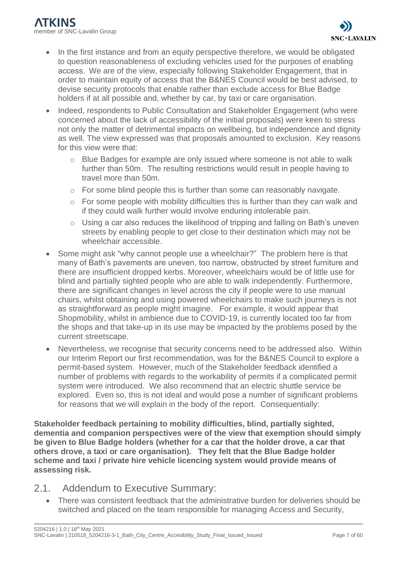- In the first instance and from an equity perspective therefore, we would be obligated to question reasonableness of excluding vehicles used for the purposes of enabling access.  We are of the view, especially following Stakeholder Engagement, that in order to maintain equity of access that the B&NES Council would be best advised, to devise security protocols that enable rather than exclude access for Blue Badge holders if at all possible and, whether by car, by taxi or care organisation.
- Indeed, respondents to Public Consultation and Stakeholder Engagement (who were concerned about the lack of accessibility of the initial proposals) were keen to stress not only the matter of detrimental impacts on wellbeing, but independence and dignity as well. The view expressed was that proposals amounted to exclusion. Key reasons for this view were that:
	- $\circ$  Blue Badges for example are only issued where someone is not able to walk further than 50m. The resulting restrictions would result in people having to travel more than 50m.
	- o For some blind people this is further than some can reasonably navigate.
	- $\circ$  For some people with mobility difficulties this is further than they can walk and if they could walk further would involve enduring intolerable pain.
	- o Using a car also reduces the likelihood of tripping and falling on Bath's uneven streets by enabling people to get close to their destination which may not be wheelchair accessible.
- Some might ask "why cannot people use a wheelchair?" The problem here is that many of Bath's pavements are uneven, too narrow, obstructed by street furniture and there are insufficient dropped kerbs. Moreover, wheelchairs would be of little use for blind and partially sighted people who are able to walk independently. Furthermore, there are significant changes in level across the city if people were to use manual chairs, whilst obtaining and using powered wheelchairs to make such journeys is not as straightforward as people might imagine. For example, it would appear that Shopmobility, whilst in ambience due to COVID-19, is currently located too far from the shops and that take-up in its use may be impacted by the problems posed by the current streetscape.
- Nevertheless, we recognise that security concerns need to be addressed also. Within our Interim Report our first recommendation, was for the B&NES Council to explore a permit-based system. However, much of the Stakeholder feedback identified a number of problems with regards to the workability of permits if a complicated permit system were introduced. We also recommend that an electric shuttle service be explored. Even so, this is not ideal and would pose a number of significant problems for reasons that we will explain in the body of the report. Consequentially:

**Stakeholder feedback pertaining to mobility difficulties, blind, partially sighted, dementia and companion perspectives were of the view that exemption should simply be given to Blue Badge holders (whether for a car that the holder drove, a car that others drove, a taxi or care organisation). They felt that the Blue Badge holder scheme and taxi / private hire vehicle licencing system would provide means of assessing risk.**

- <span id="page-6-0"></span>2.1. Addendum to Executive Summary:
	- There was consistent feedback that the administrative burden for deliveries should be switched and placed on the team responsible for managing Access and Security,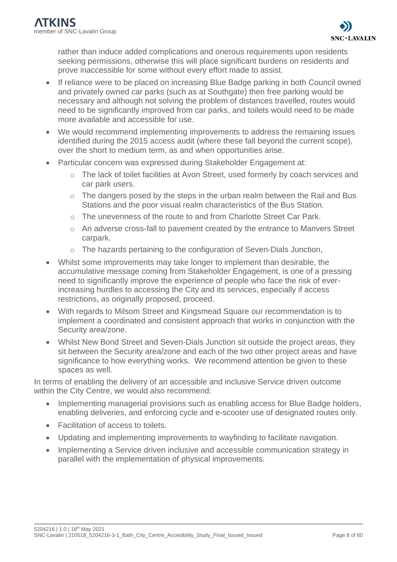rather than induce added complications and onerous requirements upon residents seeking permissions, otherwise this will place significant burdens on residents and prove inaccessible for some without every effort made to assist.

- If reliance were to be placed on increasing Blue Badge parking in both Council owned and privately owned car parks (such as at Southgate) then free parking would be necessary and although not solving the problem of distances travelled, routes would need to be significantly improved from car parks, and toilets would need to be made more available and accessible for use.
- We would recommend implementing improvements to address the remaining issues identified during the 2015 access audit (where these fall beyond the current scope), over the short to medium term, as and when opportunities arise.
- Particular concern was expressed during Stakeholder Engagement at:
	- o The lack of toilet facilities at Avon Street, used formerly by coach services and car park users.
	- o The dangers posed by the steps in the urban realm between the Rail and Bus Stations and the poor visual realm characteristics of the Bus Station.
	- $\circ$  The unevenness of the route to and from Charlotte Street Car Park.
	- o An adverse cross-fall to pavement created by the entrance to Manvers Street carpark.
	- o The hazards pertaining to the configuration of Seven-Dials Junction,
- Whilst some improvements may take longer to implement than desirable, the accumulative message coming from Stakeholder Engagement, is one of a pressing need to significantly improve the experience of people who face the risk of everincreasing hurdles to accessing the City and its services, especially if access restrictions, as originally proposed, proceed.
- With regards to Milsom Street and Kingsmead Square our recommendation is to implement a coordinated and consistent approach that works in conjunction with the Security area/zone.
- Whilst New Bond Street and Seven-Dials Junction sit outside the project areas, they sit between the Security area/zone and each of the two other project areas and have significance to how everything works. We recommend attention be given to these spaces as well.

In terms of enabling the delivery of an accessible and inclusive Service driven outcome within the City Centre, we would also recommend:

- Implementing managerial provisions such as enabling access for Blue Badge holders, enabling deliveries, and enforcing cycle and e-scooter use of designated routes only.
- Facilitation of access to toilets.
- Updating and implementing improvements to wayfinding to facilitate navigation.
- Implementing a Service driven inclusive and accessible communication strategy in parallel with the implementation of physical improvements.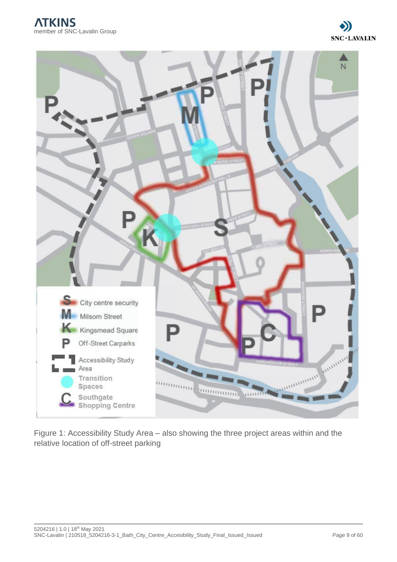



Figure 1: Accessibility Study Area – also showing the three project areas within and the relative location of off-street parking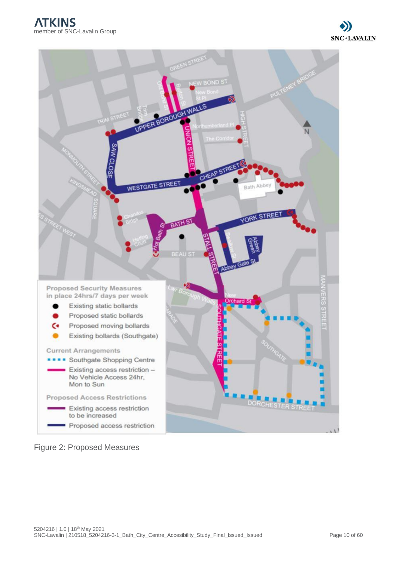

Figure 2: Proposed Measures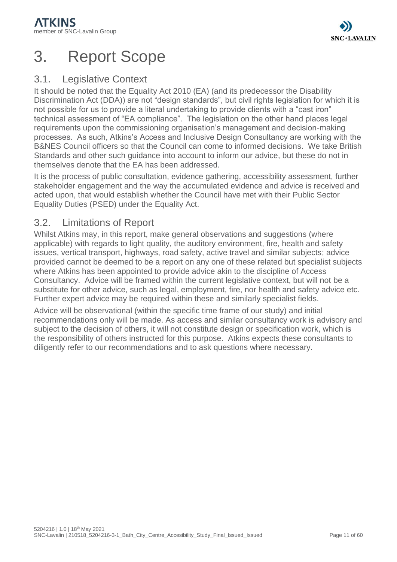# <span id="page-10-0"></span>3. Report Scope

# <span id="page-10-1"></span>3.1. Legislative Context

It should be noted that the Equality Act 2010 (EA) (and its predecessor the Disability Discrimination Act (DDA)) are not "design standards", but civil rights legislation for which it is not possible for us to provide a literal undertaking to provide clients with a "cast iron" technical assessment of "EA compliance". The legislation on the other hand places legal requirements upon the commissioning organisation's management and decision-making processes. As such, Atkins's Access and Inclusive Design Consultancy are working with the B&NES Council officers so that the Council can come to informed decisions. We take British Standards and other such guidance into account to inform our advice, but these do not in themselves denote that the EA has been addressed.

It is the process of public consultation, evidence gathering, accessibility assessment, further stakeholder engagement and the way the accumulated evidence and advice is received and acted upon, that would establish whether the Council have met with their Public Sector Equality Duties (PSED) under the Equality Act.

## <span id="page-10-2"></span>3.2. Limitations of Report

Whilst Atkins may, in this report, make general observations and suggestions (where applicable) with regards to light quality, the auditory environment, fire, health and safety issues, vertical transport, highways, road safety, active travel and similar subjects; advice provided cannot be deemed to be a report on any one of these related but specialist subjects where Atkins has been appointed to provide advice akin to the discipline of Access Consultancy. Advice will be framed within the current legislative context, but will not be a substitute for other advice, such as legal, employment, fire, nor health and safety advice etc. Further expert advice may be required within these and similarly specialist fields.

Advice will be observational (within the specific time frame of our study) and initial recommendations only will be made. As access and similar consultancy work is advisory and subject to the decision of others, it will not constitute design or specification work, which is the responsibility of others instructed for this purpose. Atkins expects these consultants to diligently refer to our recommendations and to ask questions where necessary.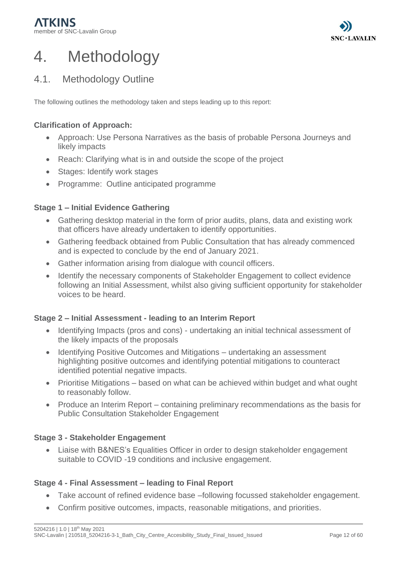

# <span id="page-11-0"></span>4. Methodology

# <span id="page-11-1"></span>4.1. Methodology Outline

The following outlines the methodology taken and steps leading up to this report:

## **Clarification of Approach:**

- Approach: Use Persona Narratives as the basis of probable Persona Journeys and likely impacts
- Reach: Clarifying what is in and outside the scope of the project
- Stages: Identify work stages
- Programme: Outline anticipated programme

#### **Stage 1 – Initial Evidence Gathering**

- Gathering desktop material in the form of prior audits, plans, data and existing work that officers have already undertaken to identify opportunities.
- Gathering feedback obtained from Public Consultation that has already commenced and is expected to conclude by the end of January 2021.
- Gather information arising from dialogue with council officers.
- Identify the necessary components of Stakeholder Engagement to collect evidence following an Initial Assessment, whilst also giving sufficient opportunity for stakeholder voices to be heard.

#### **Stage 2 – Initial Assessment - leading to an Interim Report**

- Identifying Impacts (pros and cons) undertaking an initial technical assessment of the likely impacts of the proposals
- Identifying Positive Outcomes and Mitigations undertaking an assessment highlighting positive outcomes and identifying potential mitigations to counteract identified potential negative impacts.
- Prioritise Mitigations based on what can be achieved within budget and what ought to reasonably follow.
- Produce an Interim Report containing preliminary recommendations as the basis for Public Consultation Stakeholder Engagement

#### **Stage 3 - Stakeholder Engagement**

• Liaise with B&NES's Equalities Officer in order to design stakeholder engagement suitable to COVID -19 conditions and inclusive engagement.

#### **Stage 4 - Final Assessment – leading to Final Report**

- Take account of refined evidence base –following focussed stakeholder engagement.
- Confirm positive outcomes, impacts, reasonable mitigations, and priorities.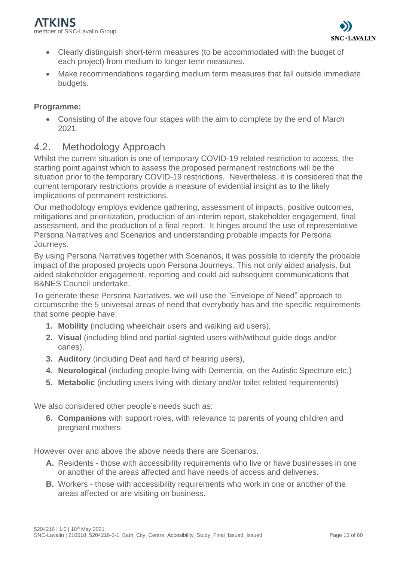- Clearly distinguish short-term measures (to be accommodated with the budget of each project) from medium to longer term measures.
- Make recommendations regarding medium term measures that fall outside immediate budgets.

## **Programme:**

• Consisting of the above four stages with the aim to complete by the end of March 2021.

## <span id="page-12-0"></span>4.2. Methodology Approach

Whilst the current situation is one of temporary COVID-19 related restriction to access, the starting point against which to assess the proposed permanent restrictions will be the situation prior to the temporary COVID-19 restrictions. Nevertheless, it is considered that the current temporary restrictions provide a measure of evidential insight as to the likely implications of permanent restrictions.

Our methodology employs evidence gathering, assessment of impacts, positive outcomes, mitigations and prioritization, production of an interim report, stakeholder engagement, final assessment, and the production of a final report. It hinges around the use of representative Persona Narratives and Scenarios and understanding probable impacts for Persona Journeys.

By using Persona Narratives together with Scenarios, it was possible to identify the probable impact of the proposed projects upon Persona Journeys. This not only aided analysis, but aided stakeholder engagement, reporting and could aid subsequent communications that B&NES Council undertake.

To generate these Persona Narratives, we will use the "Envelope of Need" approach to circumscribe the 5 universal areas of need that everybody has and the specific requirements that some people have:

- **1. Mobility** (including wheelchair users and walking aid users),
- **2. Visual** (including blind and partial sighted users with/without guide dogs and/or canes),
- **3. Auditory** (including Deaf and hard of hearing users),
- **4. Neurological** (including people living with Dementia, on the Autistic Spectrum etc.)
- **5. Metabolic** (including users living with dietary and/or toilet related requirements)

We also considered other people's needs such as:

**6. Companions** with support roles, with relevance to parents of young children and pregnant mothers

However over and above the above needs there are Scenarios.

- **A.** Residents those with accessibility requirements who live or have businesses in one or another of the areas affected and have needs of access and deliveries.
- **B.** Workers those with accessibility requirements who work in one or another of the areas affected or are visiting on business.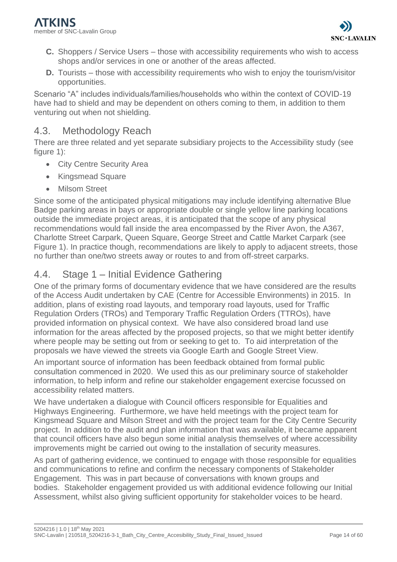- **C.** Shoppers / Service Users those with accessibility requirements who wish to access shops and/or services in one or another of the areas affected.
- **D.** Tourists those with accessibility requirements who wish to enjoy the tourism/visitor opportunities.

Scenario "A" includes individuals/families/households who within the context of COVID-19 have had to shield and may be dependent on others coming to them, in addition to them venturing out when not shielding.

## <span id="page-13-0"></span>4.3. Methodology Reach

There are three related and yet separate subsidiary projects to the Accessibility study (see figure 1):

- City Centre Security Area
- Kingsmead Square
- Milsom Street

Since some of the anticipated physical mitigations may include identifying alternative Blue Badge parking areas in bays or appropriate double or single yellow line parking locations outside the immediate project areas, it is anticipated that the scope of any physical recommendations would fall inside the area encompassed by the River Avon, the A367, Charlotte Street Carpark, Queen Square, George Street and Cattle Market Carpark (see Figure 1). In practice though, recommendations are likely to apply to adjacent streets, those no further than one/two streets away or routes to and from off-street carparks.

## <span id="page-13-1"></span>4.4. Stage 1 – Initial Evidence Gathering

One of the primary forms of documentary evidence that we have considered are the results of the Access Audit undertaken by CAE (Centre for Accessible Environments) in 2015. In addition, plans of existing road layouts, and temporary road layouts, used for Traffic Regulation Orders (TROs) and Temporary Traffic Regulation Orders (TTROs), have provided information on physical context. We have also considered broad land use information for the areas affected by the proposed projects, so that we might better identify where people may be setting out from or seeking to get to. To aid interpretation of the proposals we have viewed the streets via Google Earth and Google Street View.

An important source of information has been feedback obtained from formal public consultation commenced in 2020.  We used this as our preliminary source of stakeholder information, to help inform and refine our stakeholder engagement exercise focussed on accessibility related matters.

We have undertaken a dialogue with Council officers responsible for Equalities and Highways Engineering. Furthermore, we have held meetings with the project team for Kingsmead Square and Milson Street and with the project team for the City Centre Security project. In addition to the audit and plan information that was available, it became apparent that council officers have also begun some initial analysis themselves of where accessibility improvements might be carried out owing to the installation of security measures.

As part of gathering evidence, we continued to engage with those responsible for equalities and communications to refine and confirm the necessary components of Stakeholder Engagement. This was in part because of conversations with known groups and bodies. Stakeholder engagement provided us with additional evidence following our Initial Assessment, whilst also giving sufficient opportunity for stakeholder voices to be heard.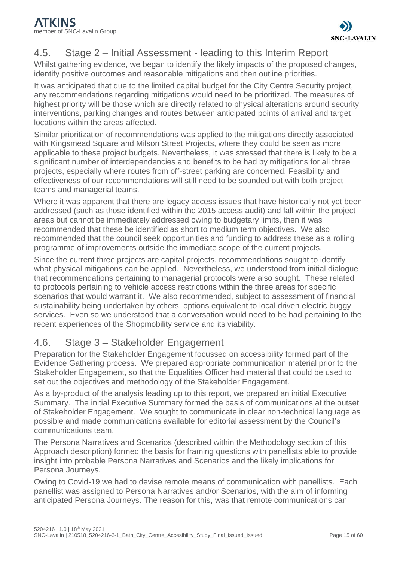# <span id="page-14-0"></span>4.5. Stage 2 – Initial Assessment - leading to this Interim Report

Whilst gathering evidence, we began to identify the likely impacts of the proposed changes, identify positive outcomes and reasonable mitigations and then outline priorities.

It was anticipated that due to the limited capital budget for the City Centre Security project, any recommendations regarding mitigations would need to be prioritized. The measures of highest priority will be those which are directly related to physical alterations around security interventions, parking changes and routes between anticipated points of arrival and target locations within the areas affected.

Similar prioritization of recommendations was applied to the mitigations directly associated with Kingsmead Square and Milson Street Projects, where they could be seen as more applicable to these project budgets. Nevertheless, it was stressed that there is likely to be a significant number of interdependencies and benefits to be had by mitigations for all three projects, especially where routes from off-street parking are concerned. Feasibility and effectiveness of our recommendations will still need to be sounded out with both project teams and managerial teams.

Where it was apparent that there are legacy access issues that have historically not yet been addressed (such as those identified within the 2015 access audit) and fall within the project areas but cannot be immediately addressed owing to budgetary limits, then it was recommended that these be identified as short to medium term objectives. We also recommended that the council seek opportunities and funding to address these as a rolling programme of improvements outside the immediate scope of the current projects.

Since the current three projects are capital projects, recommendations sought to identify what physical mitigations can be applied. Nevertheless, we understood from initial dialogue that recommendations pertaining to managerial protocols were also sought. These related to protocols pertaining to vehicle access restrictions within the three areas for specific scenarios that would warrant it. We also recommended, subject to assessment of financial sustainability being undertaken by others, options equivalent to local driven electric buggy services. Even so we understood that a conversation would need to be had pertaining to the recent experiences of the Shopmobility service and its viability.

# <span id="page-14-1"></span>4.6. Stage 3 – Stakeholder Engagement

Preparation for the Stakeholder Engagement focussed on accessibility formed part of the Evidence Gathering process. We prepared appropriate communication material prior to the Stakeholder Engagement, so that the Equalities Officer had material that could be used to set out the objectives and methodology of the Stakeholder Engagement.

As a by-product of the analysis leading up to this report, we prepared an initial Executive Summary. The initial Executive Summary formed the basis of communications at the outset of Stakeholder Engagement. We sought to communicate in clear non-technical language as possible and made communications available for editorial assessment by the Council's communications team.

The Persona Narratives and Scenarios (described within the Methodology section of this Approach description) formed the basis for framing questions with panellists able to provide insight into probable Persona Narratives and Scenarios and the likely implications for Persona Journeys.

Owing to Covid-19 we had to devise remote means of communication with panellists. Each panellist was assigned to Persona Narratives and/or Scenarios, with the aim of informing anticipated Persona Journeys. The reason for this, was that remote communications can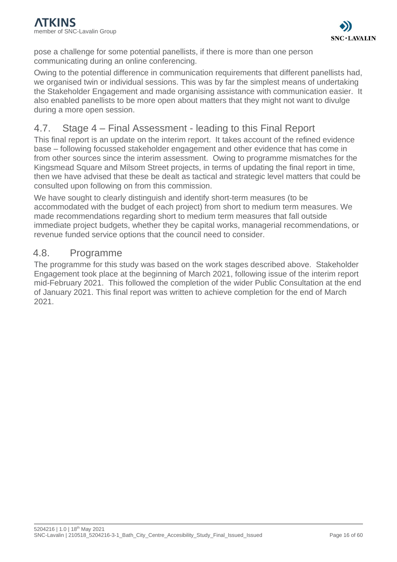pose a challenge for some potential panellists, if there is more than one person communicating during an online conferencing.

Owing to the potential difference in communication requirements that different panellists had, we organised twin or individual sessions. This was by far the simplest means of undertaking the Stakeholder Engagement and made organising assistance with communication easier. It also enabled panellists to be more open about matters that they might not want to divulge during a more open session.

# <span id="page-15-0"></span>4.7. Stage 4 – Final Assessment - leading to this Final Report

This final report is an update on the interim report. It takes account of the refined evidence base – following focussed stakeholder engagement and other evidence that has come in from other sources since the interim assessment. Owing to programme mismatches for the Kingsmead Square and Milsom Street projects, in terms of updating the final report in time, then we have advised that these be dealt as tactical and strategic level matters that could be consulted upon following on from this commission.

We have sought to clearly distinguish and identify short-term measures (to be accommodated with the budget of each project) from short to medium term measures. We made recommendations regarding short to medium term measures that fall outside immediate project budgets, whether they be capital works, managerial recommendations, or revenue funded service options that the council need to consider.

## <span id="page-15-1"></span>4.8. Programme

The programme for this study was based on the work stages described above. Stakeholder Engagement took place at the beginning of March 2021, following issue of the interim report mid-February 2021. This followed the completion of the wider Public Consultation at the end of January 2021. This final report was written to achieve completion for the end of March 2021.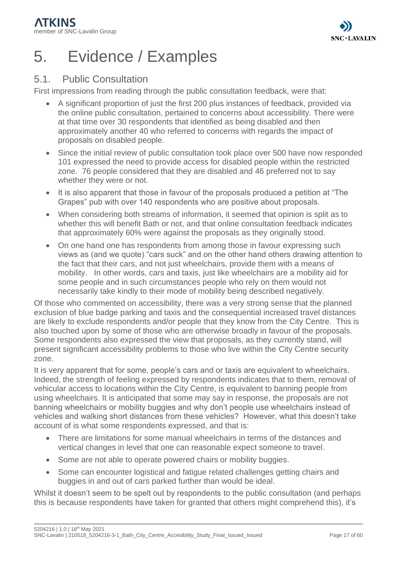

# <span id="page-16-0"></span>5. Evidence / Examples

## <span id="page-16-1"></span>5.1. Public Consultation

First impressions from reading through the public consultation feedback, were that:

- A significant proportion of just the first 200 plus instances of feedback, provided via the online public consultation, pertained to concerns about accessibility. There were at that time over 30 respondents that identified as being disabled and then approximately another 40 who referred to concerns with regards the impact of proposals on disabled people.
- Since the initial review of public consultation took place over 500 have now responded 101 expressed the need to provide access for disabled people within the restricted zone. 76 people considered that they are disabled and 46 preferred not to say whether they were or not.
- It is also apparent that those in favour of the proposals produced a petition at "The Grapes" pub with over 140 respondents who are positive about proposals.
- When considering both streams of information, it seemed that opinion is split as to whether this will benefit Bath or not, and that online consultation feedback indicates that approximately 60% were against the proposals as they originally stood.
- On one hand one has respondents from among those in favour expressing such views as (and we quote) "cars suck" and on the other hand others drawing attention to the fact that their cars, and not just wheelchairs, provide them with a means of mobility. In other words, cars and taxis, just like wheelchairs are a mobility aid for some people and in such circumstances people who rely on them would not necessarily take kindly to their mode of mobility being described negatively.

Of those who commented on accessibility, there was a very strong sense that the planned exclusion of blue badge parking and taxis and the consequential increased travel distances are likely to exclude respondents and/or people that they know from the City Centre. This is also touched upon by some of those who are otherwise broadly in favour of the proposals. Some respondents also expressed the view that proposals, as they currently stand, will present significant accessibility problems to those who live within the City Centre security zone.

It is very apparent that for some, people's cars and or taxis are equivalent to wheelchairs. Indeed, the strength of feeling expressed by respondents indicates that to them, removal of vehicular access to locations within the City Centre, is equivalent to banning people from using wheelchairs. It is anticipated that some may say in response, the proposals are not banning wheelchairs or mobility buggies and why don't people use wheelchairs instead of vehicles and walking short distances from these vehicles? However, what this doesn't take account of is what some respondents expressed, and that is:

- There are limitations for some manual wheelchairs in terms of the distances and vertical changes in level that one can reasonable expect someone to travel.
- Some are not able to operate powered chairs or mobility buggies.
- Some can encounter logistical and fatigue related challenges getting chairs and buggies in and out of cars parked further than would be ideal.

Whilst it doesn't seem to be spelt out by respondents to the public consultation (and perhaps this is because respondents have taken for granted that others might comprehend this), it's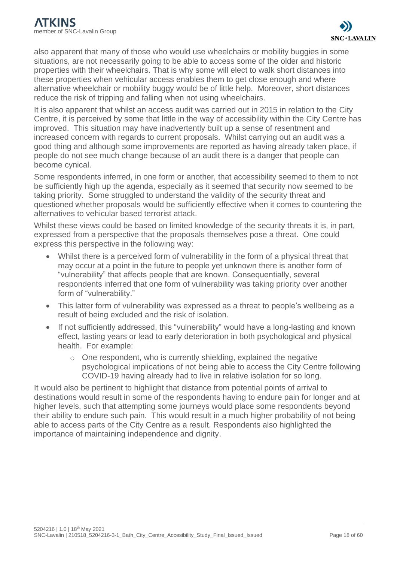also apparent that many of those who would use wheelchairs or mobility buggies in some situations, are not necessarily going to be able to access some of the older and historic properties with their wheelchairs. That is why some will elect to walk short distances into these properties when vehicular access enables them to get close enough and where alternative wheelchair or mobility buggy would be of little help. Moreover, short distances reduce the risk of tripping and falling when not using wheelchairs.

It is also apparent that whilst an access audit was carried out in 2015 in relation to the City Centre, it is perceived by some that little in the way of accessibility within the City Centre has improved. This situation may have inadvertently built up a sense of resentment and increased concern with regards to current proposals. Whilst carrying out an audit was a good thing and although some improvements are reported as having already taken place, if people do not see much change because of an audit there is a danger that people can become cynical.

Some respondents inferred, in one form or another, that accessibility seemed to them to not be sufficiently high up the agenda, especially as it seemed that security now seemed to be taking priority. Some struggled to understand the validity of the security threat and questioned whether proposals would be sufficiently effective when it comes to countering the alternatives to vehicular based terrorist attack.

Whilst these views could be based on limited knowledge of the security threats it is, in part, expressed from a perspective that the proposals themselves pose a threat. One could express this perspective in the following way:

- Whilst there is a perceived form of vulnerability in the form of a physical threat that may occur at a point in the future to people yet unknown there is another form of "vulnerability" that affects people that are known. Consequentially, several respondents inferred that one form of vulnerability was taking priority over another form of "vulnerability."
- This latter form of vulnerability was expressed as a threat to people's wellbeing as a result of being excluded and the risk of isolation.
- If not sufficiently addressed, this "vulnerability" would have a long-lasting and known effect, lasting years or lead to early deterioration in both psychological and physical health. For example:
	- $\circ$  One respondent, who is currently shielding, explained the negative psychological implications of not being able to access the City Centre following COVID-19 having already had to live in relative isolation for so long.

It would also be pertinent to highlight that distance from potential points of arrival to destinations would result in some of the respondents having to endure pain for longer and at higher levels, such that attempting some journeys would place some respondents beyond their ability to endure such pain. This would result in a much higher probability of not being able to access parts of the City Centre as a result. Respondents also highlighted the importance of maintaining independence and dignity.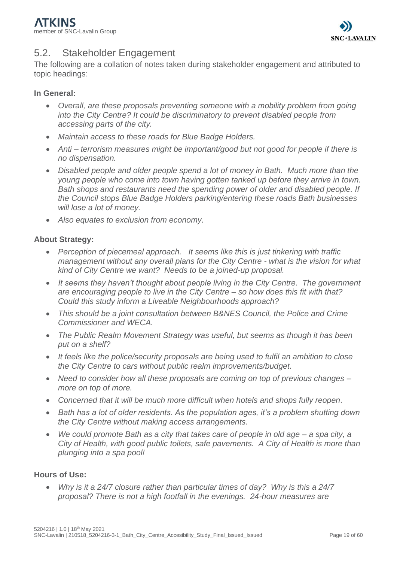

# <span id="page-18-0"></span>5.2. Stakeholder Engagement

The following are a collation of notes taken during stakeholder engagement and attributed to topic headings:

## **In General:**

- *Overall, are these proposals preventing someone with a mobility problem from going into the City Centre? It could be discriminatory to prevent disabled people from accessing parts of the city.*
- *Maintain access to these roads for Blue Badge Holders.*
- *Anti – terrorism measures might be important/good but not good for people if there is no dispensation.*
- *Disabled people and older people spend a lot of money in Bath. Much more than the young people who come into town having gotten tanked up before they arrive in town. Bath shops and restaurants need the spending power of older and disabled people. If the Council stops Blue Badge Holders parking/entering these roads Bath businesses will lose a lot of money.*
- *Also equates to exclusion from economy.*

## **About Strategy:**

- *Perception of piecemeal approach. It seems like this is just tinkering with traffic management without any overall plans for the City Centre - what is the vision for what kind of City Centre we want? Needs to be a joined-up proposal.*
- *It seems they haven't thought about people living in the City Centre. The government are encouraging people to live in the City Centre – so how does this fit with that? Could this study inform a Liveable Neighbourhoods approach?*
- *This should be a joint consultation between B&NES Council, the Police and Crime Commissioner and WECA.*
- *The Public Realm Movement Strategy was useful, but seems as though it has been put on a shelf?*
- *It feels like the police/security proposals are being used to fulfil an ambition to close the City Centre to cars without public realm improvements/budget.*
- *Need to consider how all these proposals are coming on top of previous changes – more on top of more.*
- *Concerned that it will be much more difficult when hotels and shops fully reopen.*
- *Bath has a lot of older residents. As the population ages, it's a problem shutting down the City Centre without making access arrangements.*
- *We could promote Bath as a city that takes care of people in old age – a spa city, a City of Health, with good public toilets, safe pavements. A City of Health is more than plunging into a spa pool!*

## **Hours of Use:**

• *Why is it a 24/7 closure rather than particular times of day? Why is this a 24/7 proposal? There is not a high footfall in the evenings. 24-hour measures are*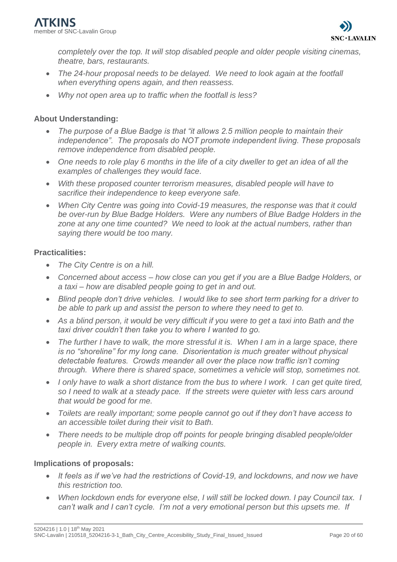*completely over the top. It will stop disabled people and older people visiting cinemas, theatre, bars, restaurants.* 

- The 24-hour proposal needs to be delayed. We need to look again at the footfall *when everything opens again, and then reassess.*
- *Why not open area up to traffic when the footfall is less?*

## **About Understanding:**

- *The purpose of a Blue Badge is that "it allows 2.5 million people to maintain their independence". The proposals do NOT promote independent living. These proposals remove independence from disabled people.*
- *One needs to role play 6 months in the life of a city dweller to get an idea of all the examples of challenges they would face.*
- *With these proposed counter terrorism measures, disabled people will have to sacrifice their independence to keep everyone safe.*
- *When City Centre was going into Covid-19 measures, the response was that it could be over-run by Blue Badge Holders. Were any numbers of Blue Badge Holders in the zone at any one time counted? We need to look at the actual numbers, rather than saying there would be too many.*

## **Practicalities:**

- *The City Centre is on a hill.*
- *Concerned about access – how close can you get if you are a Blue Badge Holders, or a taxi – how are disabled people going to get in and out.*
- *Blind people don't drive vehicles. I would like to see short term parking for a driver to be able to park up and assist the person to where they need to get to.*
- *As a blind person, it would be very difficult if you were to get a taxi into Bath and the taxi driver couldn't then take you to where I wanted to go.*
- *The further I have to walk, the more stressful it is. When I am in a large space, there is no "shoreline" for my long cane. Disorientation is much greater without physical detectable features. Crowds meander all over the place now traffic isn't coming through. Where there is shared space, sometimes a vehicle will stop, sometimes not.*
- *I only have to walk a short distance from the bus to where I work. I can get quite tired, so I need to walk at a steady pace. If the streets were quieter with less cars around that would be good for me.*
- *Toilets are really important; some people cannot go out if they don't have access to an accessible toilet during their visit to Bath.*
- *There needs to be multiple drop off points for people bringing disabled people/older people in. Every extra metre of walking counts.*

## **Implications of proposals:**

- *It feels as if we've had the restrictions of Covid-19, and lockdowns, and now we have this restriction too.*
- *When lockdown ends for everyone else, I will still be locked down. I pay Council tax. I can't walk and I can't cycle. I'm not a very emotional person but this upsets me. If*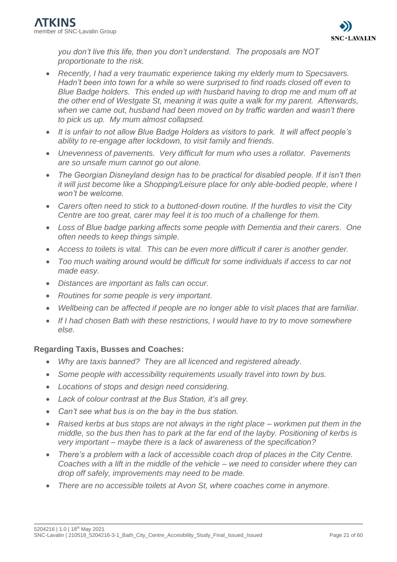*you don't live this life, then you don't understand. The proposals are NOT proportionate to the risk.*

- *Recently, I had a very traumatic experience taking my elderly mum to Specsavers. Hadn't been into town for a while so were surprised to find roads closed off even to Blue Badge holders. This ended up with husband having to drop me and mum off at the other end of Westgate St, meaning it was quite a walk for my parent. Afterwards,*  when we came out, husband had been moved on by traffic warden and wasn't there *to pick us up. My mum almost collapsed.*
- *It is unfair to not allow Blue Badge Holders as visitors to park. It will affect people's ability to re-engage after lockdown, to visit family and friends.*
- *Unevenness of pavements. Very difficult for mum who uses a rollator. Pavements are so unsafe mum cannot go out alone.*
- *The Georgian Disneyland design has to be practical for disabled people. If it isn't then it will just become like a Shopping/Leisure place for only able-bodied people, where I won't be welcome.*
- *Carers often need to stick to a buttoned-down routine. If the hurdles to visit the City Centre are too great, carer may feel it is too much of a challenge for them.*
- *Loss of Blue badge parking affects some people with Dementia and their carers. One often needs to keep things simple.*
- *Access to toilets is vital. This can be even more difficult if carer is another gender.*
- *Too much waiting around would be difficult for some individuals if access to car not made easy.*
- *Distances are important as falls can occur.*
- *Routines for some people is very important.*
- *Wellbeing can be affected if people are no longer able to visit places that are familiar.*
- *If I had chosen Bath with these restrictions, I would have to try to move somewhere else.*

## **Regarding Taxis, Busses and Coaches:**

- *Why are taxis banned? They are all licenced and registered already.*
- *Some people with accessibility requirements usually travel into town by bus.*
- *Locations of stops and design need considering.*
- *Lack of colour contrast at the Bus Station, it's all grey.*
- *Can't see what bus is on the bay in the bus station.*
- *Raised kerbs at bus stops are not always in the right place – workmen put them in the middle, so the bus then has to park at the far end of the layby. Positioning of kerbs is very important – maybe there is a lack of awareness of the specification?*
- *There's a problem with a lack of accessible coach drop of places in the City Centre. Coaches with a lift in the middle of the vehicle – we need to consider where they can drop off safely, improvements may need to be made.*
- *There are no accessible toilets at Avon St, where coaches come in anymore.*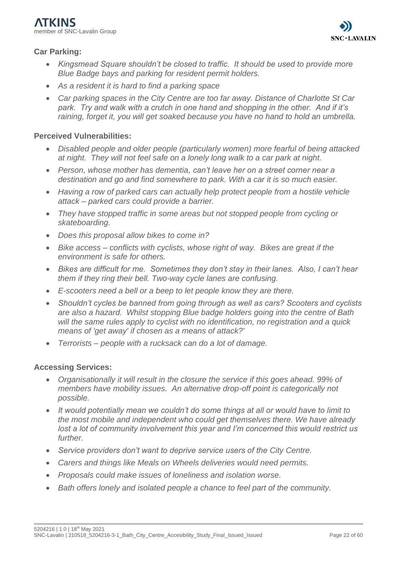## **Car Parking:**

- *Kingsmead Square shouldn't be closed to traffic. It should be used to provide more Blue Badge bays and parking for resident permit holders.*
- *As a resident it is hard to find a parking space*
- *Car parking spaces in the City Centre are too far away. Distance of Charlotte St Car park. Try and walk with a crutch in one hand and shopping in the other. And if it's raining, forget it, you will get soaked because you have no hand to hold an umbrella.*

## **Perceived Vulnerabilities:**

- *Disabled people and older people (particularly women) more fearful of being attacked at night. They will not feel safe on a lonely long walk to a car park at night.*
- *Person, whose mother has dementia, can't leave her on a street corner near a destination and go and find somewhere to park. With a car it is so much easier.*
- *Having a row of parked cars can actually help protect people from a hostile vehicle attack – parked cars could provide a barrier.*
- *They have stopped traffic in some areas but not stopped people from cycling or skateboarding.*
- *Does this proposal allow bikes to come in?*
- *Bike access – conflicts with cyclists, whose right of way. Bikes are great if the environment is safe for others.*
- *Bikes are difficult for me. Sometimes they don't stay in their lanes. Also, I can't hear them if they ring their bell. Two-way cycle lanes are confusing.*
- *E-scooters need a bell or a beep to let people know they are there.*
- *Shouldn't cycles be banned from going through as well as cars? Scooters and cyclists are also a hazard. Whilst stopping Blue badge holders going into the centre of Bath will the same rules apply to cyclist with no identification, no registration and a quick means of 'get away' if chosen as a means of attack?'*
- *Terrorists – people with a rucksack can do a lot of damage.*

## **Accessing Services:**

- *Organisationally it will result in the closure the service if this goes ahead. 99% of members have mobility issues. An alternative drop-off point is categorically not possible.*
- *It would potentially mean we couldn't do some things at all or would have to limit to the most mobile and independent who could get themselves there. We have already lost a lot of community involvement this year and I'm concerned this would restrict us further.*
- *Service providers don't want to deprive service users of the City Centre.*
- *Carers and things like Meals on Wheels deliveries would need permits.*
- *Proposals could make issues of loneliness and isolation worse.*
- *Bath offers lonely and isolated people a chance to feel part of the community.*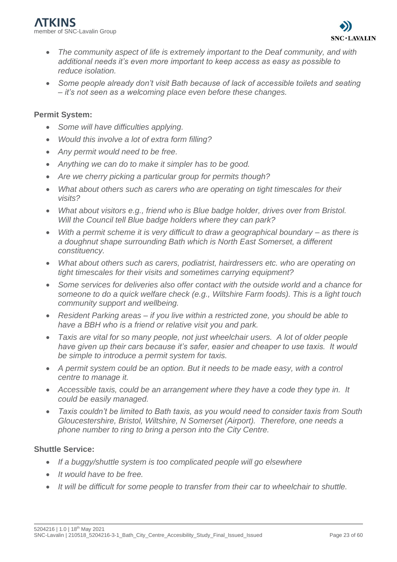

- *The community aspect of life is extremely important to the Deaf community, and with additional needs it's even more important to keep access as easy as possible to reduce isolation.*
- *Some people already don't visit Bath because of lack of accessible toilets and seating – it's not seen as a welcoming place even before these changes.*

#### **Permit System:**

- *Some will have difficulties applying.*
- *Would this involve a lot of extra form filling?*
- *Any permit would need to be free.*
- *Anything we can do to make it simpler has to be good.*
- *Are we cherry picking a particular group for permits though?*
- *What about others such as carers who are operating on tight timescales for their visits?*
- *What about visitors e.g., friend who is Blue badge holder, drives over from Bristol. Will the Council tell Blue badge holders where they can park?*
- *With a permit scheme it is very difficult to draw a geographical boundary – as there is a doughnut shape surrounding Bath which is North East Somerset, a different constituency.*
- *What about others such as carers, podiatrist, hairdressers etc. who are operating on tight timescales for their visits and sometimes carrying equipment?*
- *Some services for deliveries also offer contact with the outside world and a chance for someone to do a quick welfare check (e.g., Wiltshire Farm foods). This is a light touch community support and wellbeing.*
- *Resident Parking areas – if you live within a restricted zone, you should be able to have a BBH who is a friend or relative visit you and park.*
- *Taxis are vital for so many people, not just wheelchair users. A lot of older people have given up their cars because it's safer, easier and cheaper to use taxis. It would be simple to introduce a permit system for taxis.*
- *A permit system could be an option. But it needs to be made easy, with a control centre to manage it.*
- *Accessible taxis, could be an arrangement where they have a code they type in. It could be easily managed.*
- *Taxis couldn't be limited to Bath taxis, as you would need to consider taxis from South Gloucestershire, Bristol, Wiltshire, N Somerset (Airport). Therefore, one needs a phone number to ring to bring a person into the City Centre.*

#### **Shuttle Service:**

- *If a buggy/shuttle system is too complicated people will go elsewhere*
- *It would have to be free.*
- *It will be difficult for some people to transfer from their car to wheelchair to shuttle.*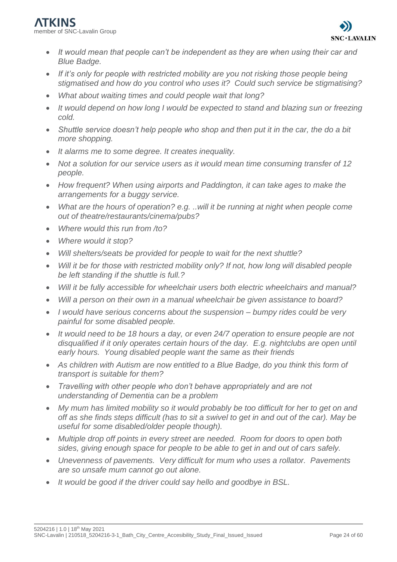- *It would mean that people can't be independent as they are when using their car and Blue Badge.*
- *If it's only for people with restricted mobility are you not risking those people being stigmatised and how do you control who uses it? Could such service be stigmatising?*
- *What about waiting times and could people wait that long?*
- *It would depend on how long I would be expected to stand and blazing sun or freezing cold.*
- *Shuttle service doesn't help people who shop and then put it in the car, the do a bit more shopping.*
- *It alarms me to some degree. It creates inequality.*
- *Not a solution for our service users as it would mean time consuming transfer of 12 people.*
- *How frequent? When using airports and Paddington, it can take ages to make the arrangements for a buggy service.*
- *What are the hours of operation? e.g. ..will it be running at night when people come out of theatre/restaurants/cinema/pubs?*
- *Where would this run from /to?*
- *Where would it stop?*
- *Will shelters/seats be provided for people to wait for the next shuttle?*
- *Will it be for those with restricted mobility only? If not, how long will disabled people be left standing if the shuttle is full.?*
- *Will it be fully accessible for wheelchair users both electric wheelchairs and manual?*
- *Will a person on their own in a manual wheelchair be given assistance to board?*
- *I would have serious concerns about the suspension – bumpy rides could be very painful for some disabled people.*
- *It would need to be 18 hours a day, or even 24/7 operation to ensure people are not disqualified if it only operates certain hours of the day. E.g. nightclubs are open until early hours. Young disabled people want the same as their friends*
- As children with Autism are now entitled to a Blue Badge, do you think this form of *transport is suitable for them?*
- *Travelling with other people who don't behave appropriately and are not understanding of Dementia can be a problem*
- *My mum has limited mobility so it would probably be too difficult for her to get on and off as she finds steps difficult (has to sit a swivel to get in and out of the car). May be useful for some disabled/older people though).*
- *Multiple drop off points in every street are needed. Room for doors to open both sides, giving enough space for people to be able to get in and out of cars safely.*
- *Unevenness of pavements. Very difficult for mum who uses a rollator. Pavements are so unsafe mum cannot go out alone.*
- *It would be good if the driver could say hello and goodbye in BSL.*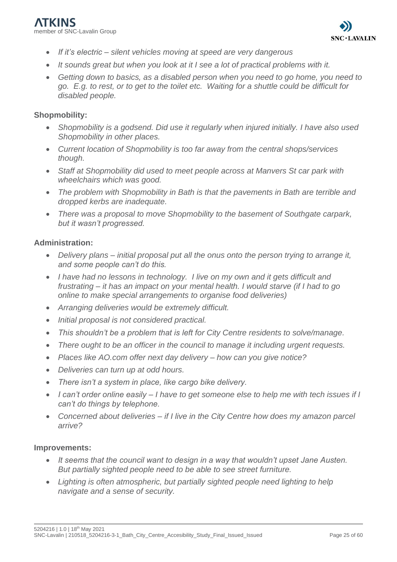

- *If it's electric – silent vehicles moving at speed are very dangerous*
- *It sounds great but when you look at it I see a lot of practical problems with it.*
- *Getting down to basics, as a disabled person when you need to go home, you need to go. E.g. to rest, or to get to the toilet etc. Waiting for a shuttle could be difficult for disabled people.*

#### **Shopmobility:**

- *Shopmobility is a godsend. Did use it regularly when injured initially. I have also used Shopmobility in other places.*
- *Current location of Shopmobility is too far away from the central shops/services though.*
- *Staff at Shopmobility did used to meet people across at Manvers St car park with wheelchairs which was good.*
- *The problem with Shopmobility in Bath is that the pavements in Bath are terrible and dropped kerbs are inadequate.*
- *There was a proposal to move Shopmobility to the basement of Southgate carpark, but it wasn't progressed.*

#### **Administration:**

- *Delivery plans – initial proposal put all the onus onto the person trying to arrange it, and some people can't do this.*
- *I have had no lessons in technology. I live on my own and it gets difficult and frustrating – it has an impact on your mental health. I would starve (if I had to go online to make special arrangements to organise food deliveries)*
- *Arranging deliveries would be extremely difficult.*
- *Initial proposal is not considered practical.*
- *This shouldn't be a problem that is left for City Centre residents to solve/manage.*
- *There ought to be an officer in the council to manage it including urgent requests.*
- *Places like AO.com offer next day delivery – how can you give notice?*
- *Deliveries can turn up at odd hours.*
- *There isn't a system in place, like cargo bike delivery.*
- *I can't order online easily – I have to get someone else to help me with tech issues if I can't do things by telephone.*
- *Concerned about deliveries – if I live in the City Centre how does my amazon parcel arrive?*

#### **Improvements:**

- *It seems that the council want to design in a way that wouldn't upset Jane Austen. But partially sighted people need to be able to see street furniture.*
- *Lighting is often atmospheric, but partially sighted people need lighting to help navigate and a sense of security.*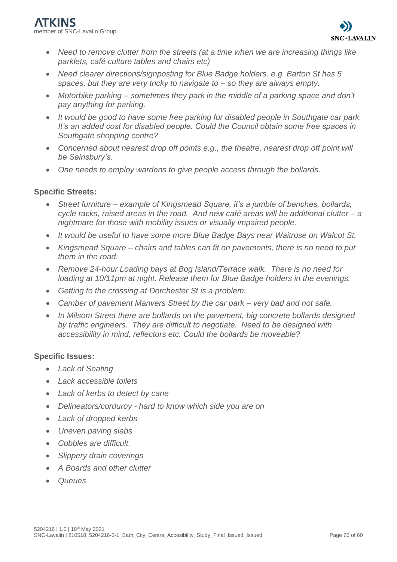member of SNC-Lavalin Group



- *Need to remove clutter from the streets (at a time when we are increasing things like parklets, café culture tables and chairs etc)*
- *Need clearer directions/signposting for Blue Badge holders. e.g. Barton St has 5 spaces, but they are very tricky to navigate to – so they are always empty.*
- *Motorbike parking – sometimes they park in the middle of a parking space and don't pay anything for parking.*
- *It would be good to have some free parking for disabled people in Southgate car park. It's an added cost for disabled people. Could the Council obtain some free spaces in Southgate shopping centre?*
- *Concerned about nearest drop off points e.g., the theatre, nearest drop off point will be Sainsbury's.*
- *One needs to employ wardens to give people access through the bollards.*

#### **Specific Streets:**

- *Street furniture – example of Kingsmead Square, it's a jumble of benches, bollards, cycle racks, raised areas in the road. And new café areas will be additional clutter – a nightmare for those with mobility issues or visually impaired people.*
- *It would be useful to have some more Blue Badge Bays near Waitrose on Walcot St.*
- *Kingsmead Square – chairs and tables can fit on pavements, there is no need to put them in the road.*
- *Remove 24-hour Loading bays at Bog Island/Terrace walk. There is no need for loading at 10/11pm at night. Release them for Blue Badge holders in the evenings.*
- *Getting to the crossing at Dorchester St is a problem.*
- *Camber of pavement Manvers Street by the car park – very bad and not safe.*
- *In Milsom Street there are bollards on the pavement, big concrete bollards designed by traffic engineers. They are difficult to negotiate. Need to be designed with accessibility in mind, reflectors etc. Could the bollards be moveable?*

#### **Specific Issues:**

- *Lack of Seating*
- *Lack accessible toilets*
- *Lack of kerbs to detect by cane*
- *Delineators/corduroy - hard to know which side you are on*
- *Lack of dropped kerbs*
- *Uneven paving slabs*
- *Cobbles are difficult.*
- *Slippery drain coverings*
- *A Boards and other clutter*
- *Queues*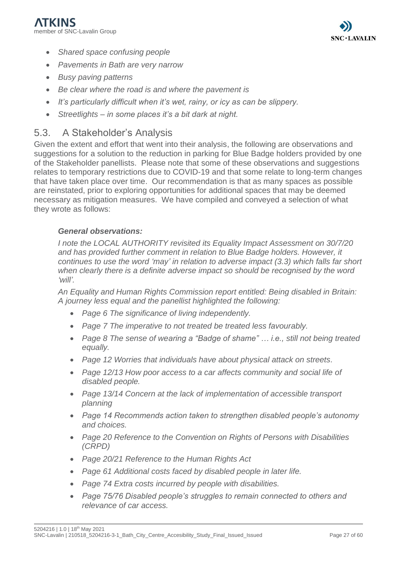

- *Shared space confusing people*
- *Pavements in Bath are very narrow*
- *Busy paving patterns*
- *Be clear where the road is and where the pavement is*
- *It's particularly difficult when it's wet, rainy, or icy as can be slippery.*
- *Streetlights – in some places it's a bit dark at night.*

## <span id="page-26-0"></span>5.3. A Stakeholder's Analysis

Given the extent and effort that went into their analysis, the following are observations and suggestions for a solution to the reduction in parking for Blue Badge holders provided by one of the Stakeholder panellists. Please note that some of these observations and suggestions relates to temporary restrictions due to COVID-19 and that some relate to long-term changes that have taken place over time. Our recommendation is that as many spaces as possible are reinstated, prior to exploring opportunities for additional spaces that may be deemed necessary as mitigation measures. We have compiled and conveyed a selection of what they wrote as follows:

## *General observations:*

*I note the LOCAL AUTHORITY revisited its Equality Impact Assessment on 30/7/20 and has provided further comment in relation to Blue Badge holders. However, it continues to use the word 'may' in relation to adverse impact (3.3) which falls far short when clearly there is a definite adverse impact so should be recognised by the word 'will'.*

*An Equality and Human Rights Commission report entitled: Being disabled in Britain: A journey less equal and the panellist highlighted the following:*

- *Page 6 The significance of living independently.*
- *Page 7 The imperative to not treated be treated less favourably.*
- *Page 8 The sense of wearing a "Badge of shame" … i.e., still not being treated equally.*
- *Page 12 Worries that individuals have about physical attack on streets.*
- *Page 12/13 How poor access to a car affects community and social life of disabled people.*
- *Page 13/14 Concern at the lack of implementation of accessible transport planning*
- *Page 14 Recommends action taken to strengthen disabled people's autonomy and choices.*
- *Page 20 Reference to the Convention on Rights of Persons with Disabilities (CRPD)*
- *Page 20/21 Reference to the Human Rights Act*
- *Page 61 Additional costs faced by disabled people in later life.*
- *Page 74 Extra costs incurred by people with disabilities.*
- *Page 75/76 Disabled people's struggles to remain connected to others and relevance of car access.*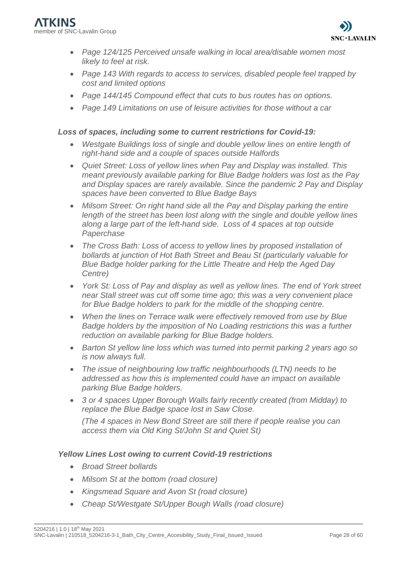- *Page 124/125 Perceived unsafe walking in local area/disable women most likely to feel at risk.*
- *Page 143 With regards to access to services, disabled people feel trapped by cost and limited options*
- *Page 144/145 Compound effect that cuts to bus routes has on options.*
- *Page 149 Limitations on use of leisure activities for those without a car*

### *Loss of spaces, including some to current restrictions for Covid-19:*

- *Westgate Buildings loss of single and double yellow lines on entire length of right-hand side and a couple of spaces outside Halfords*
- *Quiet Street: Loss of yellow lines when Pay and Display was installed. This meant previously available parking for Blue Badge holders was lost as the Pay and Display spaces are rarely available. Since the pandemic 2 Pay and Display spaces have been converted to Blue Badge Bays*
- Milsom Street: On right hand side all the Pay and Display parking the entire *length of the street has been lost along with the single and double yellow lines along a large part of the left-hand side. Loss of 4 spaces at top outside Paperchase*
- *The Cross Bath: Loss of access to yellow lines by proposed installation of bollards at junction of Hot Bath Street and Beau St (particularly valuable for Blue Badge holder parking for the Little Theatre and Help the Aged Day Centre)*
- *York St: Loss of Pay and display as well as yellow lines. The end of York street near Stall street was cut off some time ago; this was a very convenient place for Blue Badge holders to park for the middle of the shopping centre.*
- *When the lines on Terrace walk were effectively removed from use by Blue Badge holders by the imposition of No Loading restrictions this was a further reduction on available parking for Blue Badge holders.*
- *Barton St yellow line loss which was turned into permit parking 2 years ago so is now always full.*
- *The issue of neighbouring low traffic neighbourhoods (LTN) needs to be addressed as how this is implemented could have an impact on available parking Blue Badge holders.*
- *3 or 4 spaces Upper Borough Walls fairly recently created (from Midday) to replace the Blue Badge space lost in Saw Close.*

*(The 4 spaces in New Bond Street are still there if people realise you can access them via Old King St/John St and Quiet St)*

## *Yellow Lines Lost owing to current Covid-19 restrictions*

- *Broad Street bollards*
- *Milsom St at the bottom (road closure)*
- *Kingsmead Square and Avon St (road closure)*
- *Cheap St/Westgate St/Upper Bough Walls (road closure)*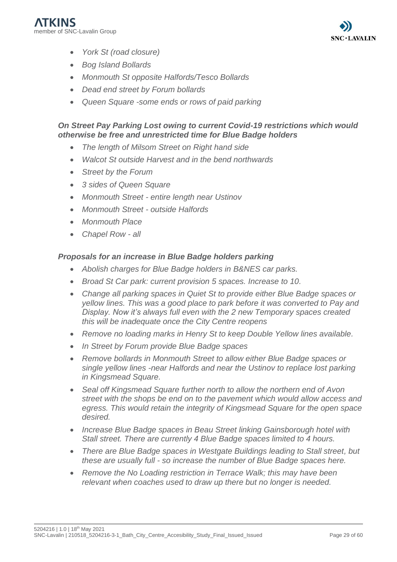

- *York St (road closure)*
- *Bog Island Bollards*
- *Monmouth St opposite Halfords/Tesco Bollards*
- *Dead end street by Forum bollards*
- *Queen Square -some ends or rows of paid parking*

#### *On Street Pay Parking Lost owing to current Covid-19 restrictions which would otherwise be free and unrestricted time for Blue Badge holders*

- *The length of Milsom Street on Right hand side*
- *Walcot St outside Harvest and in the bend northwards*
- *Street by the Forum*
- *3 sides of Queen Square*
- *Monmouth Street - entire length near Ustinov*
- *Monmouth Street - outside Halfords*
- *Monmouth Place*
- *Chapel Row - all*

#### *Proposals for an increase in Blue Badge holders parking*

- *Abolish charges for Blue Badge holders in B&NES car parks.*
- *Broad St Car park: current provision 5 spaces. Increase to 10.*
- *Change all parking spaces in Quiet St to provide either Blue Badge spaces or yellow lines. This was a good place to park before it was converted to Pay and Display. Now it's always full even with the 2 new Temporary spaces created this will be inadequate once the City Centre reopens*
- *Remove no loading marks in Henry St to keep Double Yellow lines available.*
- *In Street by Forum provide Blue Badge spaces*
- *Remove bollards in Monmouth Street to allow either Blue Badge spaces or single yellow lines -near Halfords and near the Ustinov to replace lost parking in Kingsmead Square.*
- *Seal off Kingsmead Square further north to allow the northern end of Avon street with the shops be end on to the pavement which would allow access and egress. This would retain the integrity of Kingsmead Square for the open space desired.*
- *Increase Blue Badge spaces in Beau Street linking Gainsborough hotel with Stall street. There are currently 4 Blue Badge spaces limited to 4 hours.*
- *There are Blue Badge spaces in Westgate Buildings leading to Stall street, but these are usually full - so increase the number of Blue Badge spaces here.*
- *Remove the No Loading restriction in Terrace Walk; this may have been relevant when coaches used to draw up there but no longer is needed.*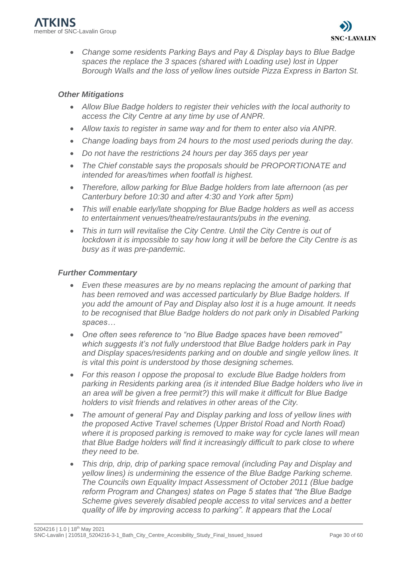• *Change some residents Parking Bays and Pay & Display bays to Blue Badge spaces the replace the 3 spaces (shared with Loading use) lost in Upper Borough Walls and the loss of yellow lines outside Pizza Express in Barton St.* 

## *Other Mitigations*

- *Allow Blue Badge holders to register their vehicles with the local authority to access the City Centre at any time by use of ANPR.*
- *Allow taxis to register in same way and for them to enter also via ANPR.*
- *Change loading bays from 24 hours to the most used periods during the day.*
- *Do not have the restrictions 24 hours per day 365 days per year*
- *The Chief constable says the proposals should be PROPORTIONATE and intended for areas/times when footfall is highest.*
- *Therefore, allow parking for Blue Badge holders from late afternoon (as per Canterbury before 10:30 and after 4:30 and York after 5pm)*
- *This will enable early/late shopping for Blue Badge holders as well as access to entertainment venues/theatre/restaurants/pubs in the evening.*
- This in turn will revitalise the City Centre. Until the City Centre is out of *lockdown it is impossible to say how long it will be before the City Centre is as busy as it was pre-pandemic.*

#### *Further Commentary*

- *Even these measures are by no means replacing the amount of parking that has been removed and was accessed particularly by Blue Badge holders. If you add the amount of Pay and Display also lost it is a huge amount. It needs to be recognised that Blue Badge holders do not park only in Disabled Parking spaces…*
- *One often sees reference to "no Blue Badge spaces have been removed" which suggests it's not fully understood that Blue Badge holders park in Pay and Display spaces/residents parking and on double and single yellow lines. It is vital this point is understood by those designing schemes.*
- *For this reason I oppose the proposal to exclude Blue Badge holders from parking in Residents parking area (is it intended Blue Badge holders who live in an area will be given a free permit?) this will make it difficult for Blue Badge holders to visit friends and relatives in other areas of the City.*
- *The amount of general Pay and Display parking and loss of yellow lines with the proposed Active Travel schemes (Upper Bristol Road and North Road) where it is proposed parking is removed to make way for cycle lanes will mean that Blue Badge holders will find it increasingly difficult to park close to where they need to be.*
- *This drip, drip, drip of parking space removal (including Pay and Display and yellow lines) is undermining the essence of the Blue Badge Parking scheme. The Councils own Equality Impact Assessment of October 2011 (Blue badge reform Program and Changes) states on Page 5 states that "the Blue Badge Scheme gives severely disabled people access to vital services and a better quality of life by improving access to parking". It appears that the Local*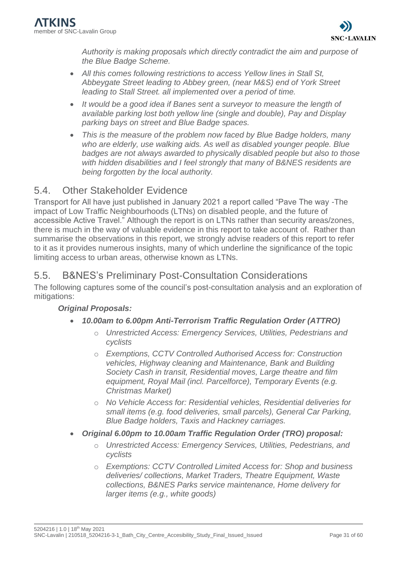

*Authority is making proposals which directly contradict the aim and purpose of the Blue Badge Scheme.*

- *All this comes following restrictions to access Yellow lines in Stall St, Abbeygate Street leading to Abbey green, (near M&S) end of York Street leading to Stall Street. all implemented over a period of time.*
- *It would be a good idea if Banes sent a surveyor to measure the length of available parking lost both yellow line (single and double), Pay and Display parking bays on street and Blue Badge spaces.*
- *This is the measure of the problem now faced by Blue Badge holders, many who are elderly, use walking aids. As well as disabled younger people. Blue badges are not always awarded to physically disabled people but also to those with hidden disabilities and I feel strongly that many of B&NES residents are being forgotten by the local authority.*

# <span id="page-30-0"></span>5.4. Other Stakeholder Evidence

Transport for All have just published in January 2021 a report called "Pave The way -The impact of Low Traffic Neighbourhoods (LTNs) on disabled people, and the future of accessible Active Travel." Although the report is on LTNs rather than security areas/zones, there is much in the way of valuable evidence in this report to take account of. Rather than summarise the observations in this report, we strongly advise readers of this report to refer to it as it provides numerous insights, many of which underline the significance of the topic limiting access to urban areas, otherwise known as LTNs.

## <span id="page-30-1"></span>5.5. B&NES's Preliminary Post-Consultation Considerations

The following captures some of the council's post-consultation analysis and an exploration of mitigations:

## *Original Proposals:*

- *10.00am to 6.00pm Anti-Terrorism Traffic Regulation Order (ATTRO)*
	- o *Unrestricted Access: Emergency Services, Utilities, Pedestrians and cyclists*
	- o *Exemptions, CCTV Controlled Authorised Access for: Construction vehicles, Highway cleaning and Maintenance, Bank and Building Society Cash in transit, Residential moves, Large theatre and film equipment, Royal Mail (incl. Parcelforce), Temporary Events (e.g. Christmas Market)*
	- o *No Vehicle Access for: Residential vehicles, Residential deliveries for small items (e.g. food deliveries, small parcels), General Car Parking, Blue Badge holders, Taxis and Hackney carriages.*
- *Original 6.00pm to 10.00am Traffic Regulation Order (TRO) proposal:*
	- o *Unrestricted Access: Emergency Services, Utilities, Pedestrians, and cyclists*
	- o *Exemptions: CCTV Controlled Limited Access for: Shop and business deliveries/ collections, Market Traders, Theatre Equipment, Waste collections, B&NES Parks service maintenance, Home delivery for larger items (e.g., white goods)*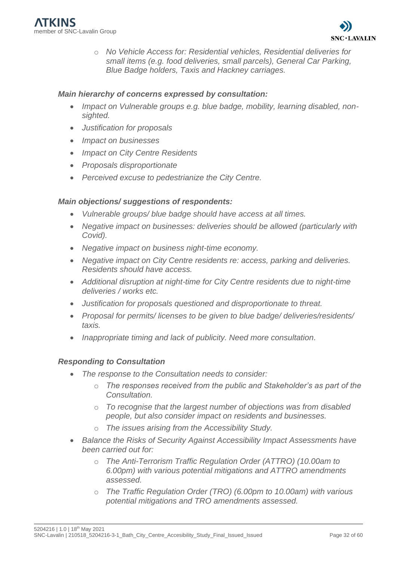o *No Vehicle Access for: Residential vehicles, Residential deliveries for small items (e.g. food deliveries, small parcels), General Car Parking, Blue Badge holders, Taxis and Hackney carriages.*

#### *Main hierarchy of concerns expressed by consultation:*

- *Impact on Vulnerable groups e.g. blue badge, mobility, learning disabled, nonsighted.*
- *Justification for proposals*
- *Impact on businesses*
- *Impact on City Centre Residents*
- *Proposals disproportionate*
- *Perceived excuse to pedestrianize the City Centre.*

#### *Main objections/ suggestions of respondents:*

- *Vulnerable groups/ blue badge should have access at all times.*
- *Negative impact on businesses: deliveries should be allowed (particularly with Covid).*
- *Negative impact on business night-time economy.*
- *Negative impact on City Centre residents re: access, parking and deliveries. Residents should have access.*
- Additional disruption at night-time for City Centre *residents due to night-time deliveries / works etc.*
- *Justification for proposals questioned and disproportionate to threat.*
- *Proposal for permits/ licenses to be given to blue badge/ deliveries/residents/ taxis.*
- *Inappropriate timing and lack of publicity. Need more consultation.*

#### *Responding to Consultation*

- *The response to the Consultation needs to consider:*
	- o *The responses received from the public and Stakeholder's as part of the Consultation.*
	- o *To recognise that the largest number of objections was from disabled people, but also consider impact on residents and businesses.*
	- o *The issues arising from the Accessibility Study.*
- *Balance the Risks of Security Against Accessibility Impact Assessments have been carried out for:*
	- o *The Anti-Terrorism Traffic Regulation Order (ATTRO) (10.00am to 6.00pm) with various potential mitigations and ATTRO amendments assessed.*
	- o *The Traffic Regulation Order (TRO) (6.00pm to 10.00am) with various potential mitigations and TRO amendments assessed.*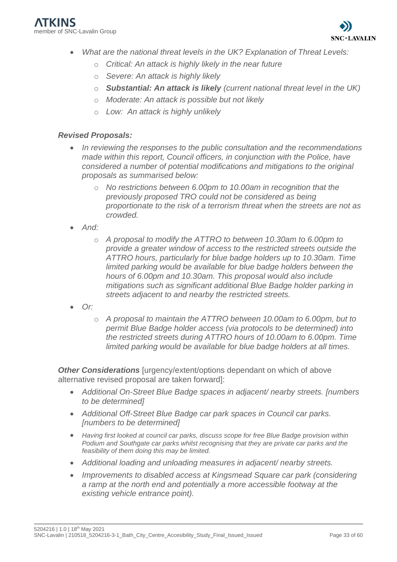- *What are the national threat levels in the UK? Explanation of Threat Levels:*
	- o *Critical: An attack is highly likely in the near future*
	- o *Severe: An attack is highly likely*
	- o *Substantial: An attack is likely (current national threat level in the UK)*
	- o *Moderate: An attack is possible but not likely*
	- o *Low: An attack is highly unlikely*

#### *Revised Proposals:*

- *In reviewing the responses to the public consultation and the recommendations made within this report, Council officers, in conjunction with the Police, have considered a number of potential modifications and mitigations to the original proposals as summarised below:*
	- o *No restrictions between 6.00pm to 10.00am in recognition that the previously proposed TRO could not be considered as being proportionate to the risk of a terrorism threat when the streets are not as crowded.*
- *And:*
	- o *A proposal to modify the ATTRO to between 10.30am to 6.00pm to provide a greater window of access to the restricted streets outside the ATTRO hours, particularly for blue badge holders up to 10.30am. Time limited parking would be available for blue badge holders between the hours of 6.00pm and 10.30am. This proposal would also include mitigations such as significant additional Blue Badge holder parking in streets adjacent to and nearby the restricted streets.*
- *Or:*
	- o *A proposal to maintain the ATTRO between 10.00am to 6.00pm, but to permit Blue Badge holder access (via protocols to be determined) into the restricted streets during ATTRO hours of 10.00am to 6.00pm. Time limited parking would be available for blue badge holders at all times.*

**Other Considerations** [urgency/extent/options dependant on which of above alternative revised proposal are taken forward]:

- *Additional On-Street Blue Badge spaces in adjacent/ nearby streets. [numbers to be determined]*
- *Additional Off-Street Blue Badge car park spaces in Council car parks. [numbers to be determined]*
- *Having first looked at council car parks, discuss scope for free Blue Badge provision within Podium and Southgate car parks whilst recognising that they are private car parks and the feasibility of them doing this may be limited.*
- *Additional loading and unloading measures in adjacent/ nearby streets.*
- *Improvements to disabled access at Kingsmead Square car park (considering a ramp at the north end and potentially a more accessible footway at the existing vehicle entrance point).*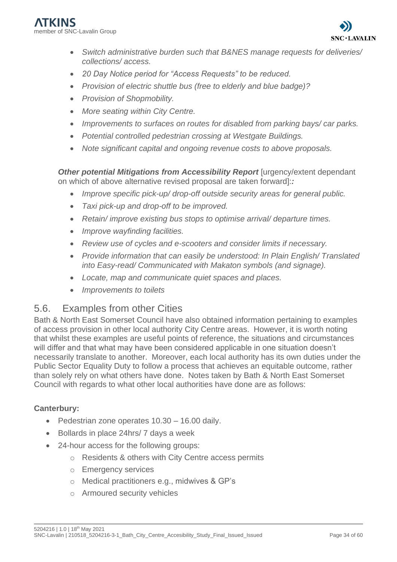

- *Switch administrative burden such that B&NES manage requests for deliveries/ collections/ access.*
- *20 Day Notice period for "Access Requests" to be reduced.*
- *Provision of electric shuttle bus (free to elderly and blue badge)?*
- *Provision of Shopmobility.*
- *More seating within City Centre.*
- *Improvements to surfaces on routes for disabled from parking bays/ car parks.*
- *Potential controlled pedestrian crossing at Westgate Buildings.*
- *Note significant capital and ongoing revenue costs to above proposals.*

*Other potential Mitigations from Accessibility Report [urgency/extent dependant***]** on which of above alternative revised proposal are taken forward]:*:*

- *Improve specific pick-up/ drop-off outside security areas for general public.*
- *Taxi pick-up and drop-off to be improved.*
- *Retain/ improve existing bus stops to optimise arrival/ departure times.*
- *Improve wayfinding facilities.*
- *Review use of cycles and e-scooters and consider limits if necessary.*
- *Provide information that can easily be understood: In Plain English/ Translated into Easy-read/ Communicated with Makaton symbols (and signage).*
- *Locate, map and communicate quiet spaces and places.*
- *Improvements to toilets*

## <span id="page-33-0"></span>5.6. Examples from other Cities

Bath & North East Somerset Council have also obtained information pertaining to examples of access provision in other local authority City Centre areas. However, it is worth noting that whilst these examples are useful points of reference, the situations and circumstances will differ and that what may have been considered applicable in one situation doesn't necessarily translate to another. Moreover, each local authority has its own duties under the Public Sector Equality Duty to follow a process that achieves an equitable outcome, rather than solely rely on what others have done. Notes taken by Bath & North East Somerset Council with regards to what other local authorities have done are as follows:

## **Canterbury:**

- Pedestrian zone operates 10.30 16.00 daily.
- Bollards in place 24hrs/ 7 days a week
- 24-hour access for the following groups:
	- o Residents & others with City Centre access permits
	- o Emergency services
	- o Medical practitioners e.g., midwives & GP's
	- o Armoured security vehicles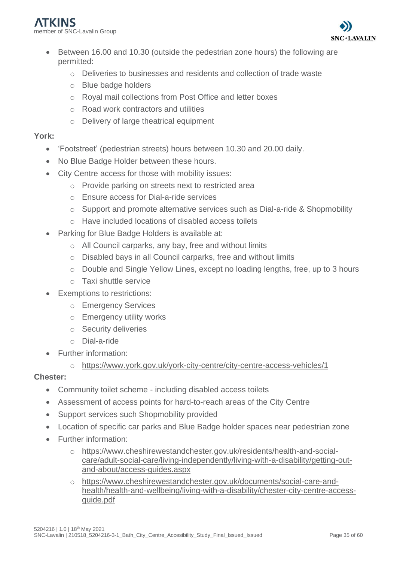- Between 16.00 and 10.30 (outside the pedestrian zone hours) the following are permitted:
	- o Deliveries to businesses and residents and collection of trade waste
	- o Blue badge holders
	- o Royal mail collections from Post Office and letter boxes
	- o Road work contractors and utilities
	- o Delivery of large theatrical equipment

## **York:**

- 'Footstreet' (pedestrian streets) hours between 10.30 and 20.00 daily.
- No Blue Badge Holder between these hours.
- City Centre access for those with mobility issues:
	- o Provide parking on streets next to restricted area
	- o Ensure access for Dial-a-ride services
	- o Support and promote alternative services such as Dial-a-ride & Shopmobility
	- o Have included locations of disabled access toilets
- Parking for Blue Badge Holders is available at:
	- o All Council carparks, any bay, free and without limits
	- o Disabled bays in all Council carparks, free and without limits
	- o Double and Single Yellow Lines, except no loading lengths, free, up to 3 hours
	- o Taxi shuttle service
- **Exemptions to restrictions:** 
	- o Emergency Services
	- o Emergency utility works
	- o Security deliveries
	- o Dial-a-ride
- Further information:
	- o <https://www.york.gov.uk/york-city-centre/city-centre-access-vehicles/1>

## **Chester:**

- Community toilet scheme including disabled access toilets
- Assessment of access points for hard-to-reach areas of the City Centre
- Support services such Shopmobility provided
- Location of specific car parks and Blue Badge holder spaces near pedestrian zone
- Further information:
	- o [https://www.cheshirewestandchester.gov.uk/residents/health-and-social](https://www.cheshirewestandchester.gov.uk/residents/health-and-social-care/adult-social-care/living-independently/living-with-a-disability/getting-out-and-about/access-guides.aspx)[care/adult-social-care/living-independently/living-with-a-disability/getting-out](https://www.cheshirewestandchester.gov.uk/residents/health-and-social-care/adult-social-care/living-independently/living-with-a-disability/getting-out-and-about/access-guides.aspx)[and-about/access-guides.aspx](https://www.cheshirewestandchester.gov.uk/residents/health-and-social-care/adult-social-care/living-independently/living-with-a-disability/getting-out-and-about/access-guides.aspx)
	- [https://www.cheshirewestandchester.gov.uk/documents/social-care-and](https://www.cheshirewestandchester.gov.uk/documents/social-care-and-health/health-and-wellbeing/living-with-a-disability/chester-city-centre-access-guide.pdf)[health/health-and-wellbeing/living-with-a-disability/chester-city-centre-access](https://www.cheshirewestandchester.gov.uk/documents/social-care-and-health/health-and-wellbeing/living-with-a-disability/chester-city-centre-access-guide.pdf)[guide.pdf](https://www.cheshirewestandchester.gov.uk/documents/social-care-and-health/health-and-wellbeing/living-with-a-disability/chester-city-centre-access-guide.pdf)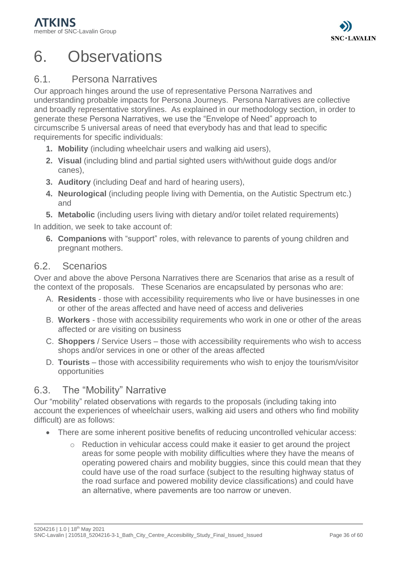# <span id="page-35-0"></span>6. Observations

# <span id="page-35-1"></span>6.1. Persona Narratives

Our approach hinges around the use of representative Persona Narratives and understanding probable impacts for Persona Journeys. Persona Narratives are collective and broadly representative storylines. As explained in our methodology section, in order to generate these Persona Narratives, we use the "Envelope of Need" approach to circumscribe 5 universal areas of need that everybody has and that lead to specific requirements for specific individuals:

- **1. Mobility** (including wheelchair users and walking aid users),
- **2. Visual** (including blind and partial sighted users with/without guide dogs and/or canes),
- **3. Auditory** (including Deaf and hard of hearing users),
- **4. Neurological** (including people living with Dementia, on the Autistic Spectrum etc.) and
- **5. Metabolic** (including users living with dietary and/or toilet related requirements)

In addition, we seek to take account of:

**6. Companions** with "support" roles, with relevance to parents of young children and pregnant mothers.

## <span id="page-35-2"></span>6.2. Scenarios

Over and above the above Persona Narratives there are Scenarios that arise as a result of the context of the proposals. These Scenarios are encapsulated by personas who are:

- A. **Residents** those with accessibility requirements who live or have businesses in one or other of the areas affected and have need of access and deliveries
- B. **Workers** those with accessibility requirements who work in one or other of the areas affected or are visiting on business
- C. **Shoppers** / Service Users those with accessibility requirements who wish to access shops and/or services in one or other of the areas affected
- D. **Tourists** those with accessibility requirements who wish to enjoy the tourism/visitor opportunities

# <span id="page-35-3"></span>6.3. The "Mobility" Narrative

Our "mobility" related observations with regards to the proposals (including taking into account the experiences of wheelchair users, walking aid users and others who find mobility difficult) are as follows:

- There are some inherent positive benefits of reducing uncontrolled vehicular access:
	- $\circ$  Reduction in vehicular access could make it easier to get around the project areas for some people with mobility difficulties where they have the means of operating powered chairs and mobility buggies, since this could mean that they could have use of the road surface (subject to the resulting highway status of the road surface and powered mobility device classifications) and could have an alternative, where pavements are too narrow or uneven.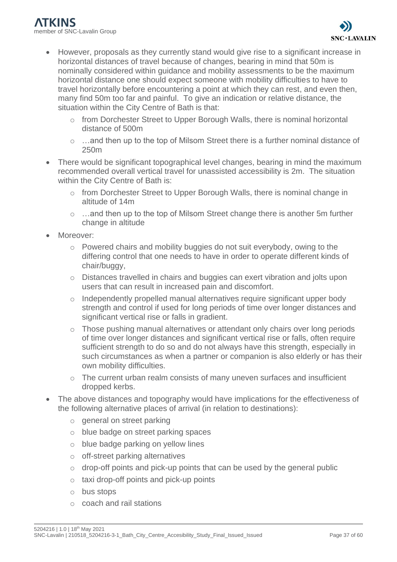- However, proposals as they currently stand would give rise to a significant increase in horizontal distances of travel because of changes, bearing in mind that 50m is nominally considered within guidance and mobility assessments to be the maximum horizontal distance one should expect someone with mobility difficulties to have to travel horizontally before encountering a point at which they can rest, and even then, many find 50m too far and painful. To give an indication or relative distance, the situation within the City Centre of Bath is that:
	- o from Dorchester Street to Upper Borough Walls, there is nominal horizontal distance of 500m
	- o …and then up to the top of Milsom Street there is a further nominal distance of 250m
- There would be significant topographical level changes, bearing in mind the maximum recommended overall vertical travel for unassisted accessibility is 2m. The situation within the City Centre of Bath is:
	- o from Dorchester Street to Upper Borough Walls, there is nominal change in altitude of 14m
	- $\circ$  …and then up to the top of Milsom Street change there is another 5m further change in altitude
- Moreover:
	- $\circ$  Powered chairs and mobility buggies do not suit everybody, owing to the differing control that one needs to have in order to operate different kinds of chair/buggy,
	- o Distances travelled in chairs and buggies can exert vibration and jolts upon users that can result in increased pain and discomfort.
	- o Independently propelled manual alternatives require significant upper body strength and control if used for long periods of time over longer distances and significant vertical rise or falls in gradient.
	- $\circ$  Those pushing manual alternatives or attendant only chairs over long periods of time over longer distances and significant vertical rise or falls, often require sufficient strength to do so and do not always have this strength, especially in such circumstances as when a partner or companion is also elderly or has their own mobility difficulties.
	- o The current urban realm consists of many uneven surfaces and insufficient dropped kerbs.
- The above distances and topography would have implications for the effectiveness of the following alternative places of arrival (in relation to destinations):
	- o general on street parking
	- o blue badge on street parking spaces
	- o blue badge parking on yellow lines
	- o off-street parking alternatives
	- $\circ$  drop-off points and pick-up points that can be used by the general public
	- o taxi drop-off points and pick-up points
	- o bus stops
	- o coach and rail stations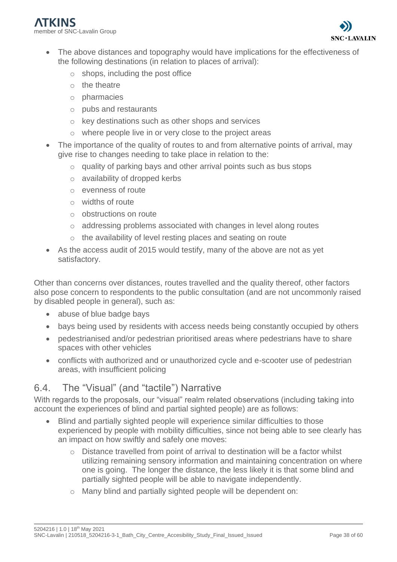

- The above distances and topography would have implications for the effectiveness of the following destinations (in relation to places of arrival):
	- $\circ$  shops, including the post office
	- o the theatre
	- o pharmacies
	- o pubs and restaurants
	- o key destinations such as other shops and services
	- o where people live in or very close to the project areas
- The importance of the quality of routes to and from alternative points of arrival, may give rise to changes needing to take place in relation to the:
	- o quality of parking bays and other arrival points such as bus stops
	- o availability of dropped kerbs
	- o evenness of route
	- o widths of route
	- o obstructions on route
	- o addressing problems associated with changes in level along routes
	- o the availability of level resting places and seating on route
- As the access audit of 2015 would testify, many of the above are not as yet satisfactory.

Other than concerns over distances, routes travelled and the quality thereof, other factors also pose concern to respondents to the public consultation (and are not uncommonly raised by disabled people in general), such as:

- abuse of blue badge bays
- bays being used by residents with access needs being constantly occupied by others
- pedestrianised and/or pedestrian prioritised areas where pedestrians have to share spaces with other vehicles
- conflicts with authorized and or unauthorized cycle and e-scooter use of pedestrian areas, with insufficient policing

# <span id="page-37-0"></span>6.4. The "Visual" (and "tactile") Narrative

With regards to the proposals, our "visual" realm related observations (including taking into account the experiences of blind and partial sighted people) are as follows:

- Blind and partially sighted people will experience similar difficulties to those experienced by people with mobility difficulties, since not being able to see clearly has an impact on how swiftly and safely one moves:
	- o Distance travelled from point of arrival to destination will be a factor whilst utilizing remaining sensory information and maintaining concentration on where one is going. The longer the distance, the less likely it is that some blind and partially sighted people will be able to navigate independently.
	- o Many blind and partially sighted people will be dependent on: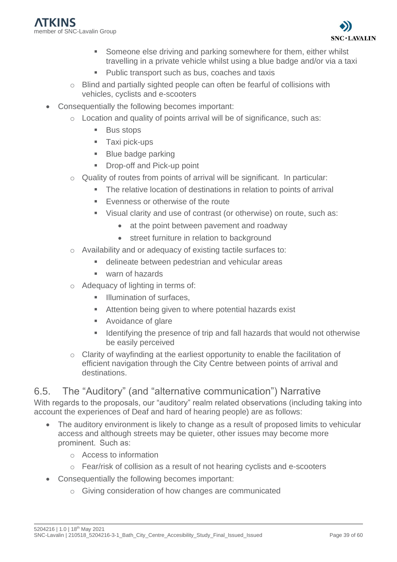

- Someone else driving and parking somewhere for them, either whilst travelling in a private vehicle whilst using a blue badge and/or via a taxi
- Public transport such as bus, coaches and taxis
- o Blind and partially sighted people can often be fearful of collisions with vehicles, cyclists and e-scooters
- Consequentially the following becomes important:
	- o Location and quality of points arrival will be of significance, such as:
		- **Bus stops**
		- Taxi pick-ups
		- **Blue badge parking**
		- **Drop-off and Pick-up point**
	- o Quality of routes from points of arrival will be significant. In particular:
		- The relative location of destinations in relation to points of arrival
		- Evenness or otherwise of the route
		- Visual clarity and use of contrast (or otherwise) on route, such as:
			- at the point between pavement and roadway
			- street furniture in relation to background
	- o Availability and or adequacy of existing tactile surfaces to:
		- delineate between pedestrian and vehicular areas
		- warn of hazards
	- o Adequacy of lighting in terms of:
		- **■** Illumination of surfaces.
		- Attention being given to where potential hazards exist
		- Avoidance of glare
		- Identifying the presence of trip and fall hazards that would not otherwise be easily perceived
	- o Clarity of wayfinding at the earliest opportunity to enable the facilitation of efficient navigation through the City Centre between points of arrival and destinations.

## <span id="page-38-0"></span>6.5. The "Auditory" (and "alternative communication") Narrative

With regards to the proposals, our "auditory" realm related observations (including taking into account the experiences of Deaf and hard of hearing people) are as follows:

- The auditory environment is likely to change as a result of proposed limits to vehicular access and although streets may be quieter, other issues may become more prominent.  Such as:
	- o Access to information
	- $\circ$  Fear/risk of collision as a result of not hearing cyclists and e-scooters
- Consequentially the following becomes important:
	- o Giving consideration of how changes are communicated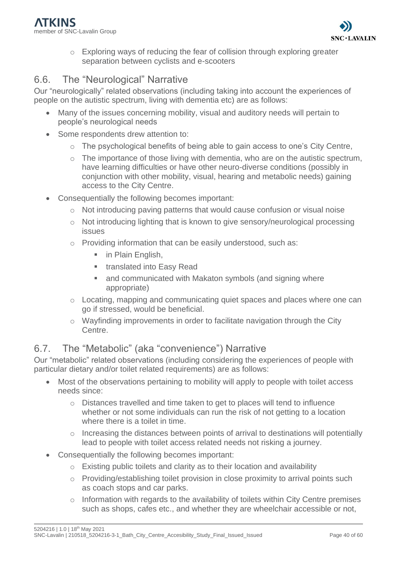o Exploring ways of reducing the fear of collision through exploring greater separation between cyclists and e-scooters

# <span id="page-39-0"></span>6.6. The "Neurological" Narrative

Our "neurologically" related observations (including taking into account the experiences of people on the autistic spectrum, living with dementia etc) are as follows:

- Many of the issues concerning mobility, visual and auditory needs will pertain to people's neurological needs
- Some respondents drew attention to:
	- o The psychological benefits of being able to gain access to one's City Centre,
	- o The importance of those living with dementia, who are on the autistic spectrum, have learning difficulties or have other neuro-diverse conditions (possibly in conjunction with other mobility, visual, hearing and metabolic needs) gaining access to the City Centre.
- Consequentially the following becomes important:
	- o Not introducing paving patterns that would cause confusion or visual noise
	- o Not introducing lighting that is known to give sensory/neurological processing issues
	- o Providing information that can be easily understood, such as:
		- in Plain English,
		- **■** translated into Easy Read
		- and communicated with Makaton symbols (and signing where appropriate)
	- o Locating, mapping and communicating quiet spaces and places where one can go if stressed, would be beneficial.
	- o Wayfinding improvements in order to facilitate navigation through the City Centre.

# <span id="page-39-1"></span>6.7. The "Metabolic" (aka "convenience") Narrative

Our "metabolic" related observations (including considering the experiences of people with particular dietary and/or toilet related requirements) are as follows:

- Most of the observations pertaining to mobility will apply to people with toilet access needs since:
	- o Distances travelled and time taken to get to places will tend to influence whether or not some individuals can run the risk of not getting to a location where there is a toilet in time.
	- o Increasing the distances between points of arrival to destinations will potentially lead to people with toilet access related needs not risking a journey.
- Consequentially the following becomes important:
	- o Existing public toilets and clarity as to their location and availability
	- o Providing/establishing toilet provision in close proximity to arrival points such as coach stops and car parks.
	- o Information with regards to the availability of toilets within City Centre premises such as shops, cafes etc., and whether they are wheelchair accessible or not,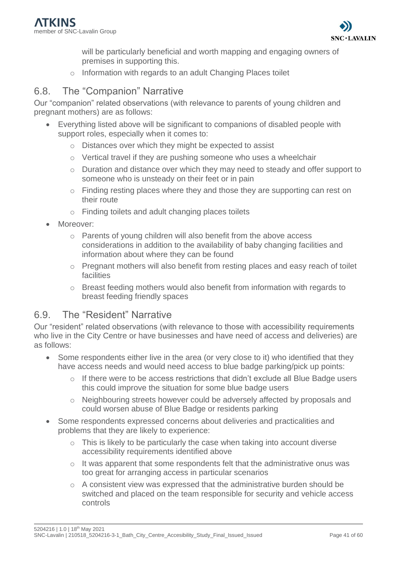will be particularly beneficial and worth mapping and engaging owners of premises in supporting this.

o Information with regards to an adult Changing Places toilet

## <span id="page-40-0"></span>6.8. The "Companion" Narrative

Our "companion" related observations (with relevance to parents of young children and pregnant mothers) are as follows:

- Everything listed above will be significant to companions of disabled people with support roles, especially when it comes to:
	- o Distances over which they might be expected to assist
	- o Vertical travel if they are pushing someone who uses a wheelchair
	- o Duration and distance over which they may need to steady and offer support to someone who is unsteady on their feet or in pain
	- $\circ$  Finding resting places where they and those they are supporting can rest on their route
	- o Finding toilets and adult changing places toilets
- Moreover:
	- o Parents of young children will also benefit from the above access considerations in addition to the availability of baby changing facilities and information about where they can be found
	- o Pregnant mothers will also benefit from resting places and easy reach of toilet facilities
	- o Breast feeding mothers would also benefit from information with regards to breast feeding friendly spaces

## <span id="page-40-1"></span>6.9. The "Resident" Narrative

Our "resident" related observations (with relevance to those with accessibility requirements who live in the City Centre or have businesses and have need of access and deliveries) are as follows:

- Some respondents either live in the area (or very close to it) who identified that they have access needs and would need access to blue badge parking/pick up points:
	- o If there were to be access restrictions that didn't exclude all Blue Badge users this could improve the situation for some blue badge users
	- o Neighbouring streets however could be adversely affected by proposals and could worsen abuse of Blue Badge or residents parking
- Some respondents expressed concerns about deliveries and practicalities and problems that they are likely to experience:
	- o This is likely to be particularly the case when taking into account diverse accessibility requirements identified above
	- o It was apparent that some respondents felt that the administrative onus was too great for arranging access in particular scenarios
	- $\circ$  A consistent view was expressed that the administrative burden should be switched and placed on the team responsible for security and vehicle access controls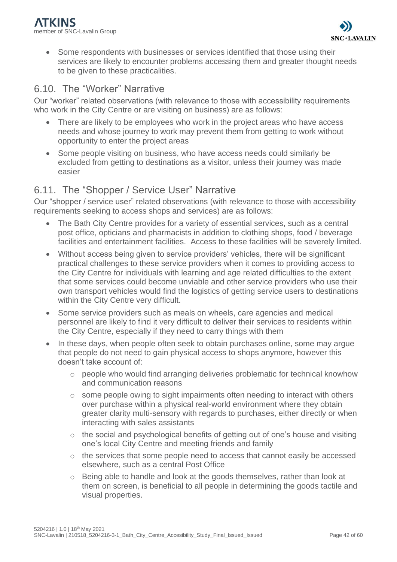• Some respondents with businesses or services identified that those using their services are likely to encounter problems accessing them and greater thought needs to be given to these practicalities.

## <span id="page-41-0"></span>6.10. The "Worker" Narrative

Our "worker" related observations (with relevance to those with accessibility requirements who work in the City Centre or are visiting on business) are as follows:

- There are likely to be employees who work in the project areas who have access needs and whose journey to work may prevent them from getting to work without opportunity to enter the project areas
- Some people visiting on business, who have access needs could similarly be excluded from getting to destinations as a visitor, unless their journey was made easier

## <span id="page-41-1"></span>6.11. The "Shopper / Service User" Narrative

Our "shopper / service user" related observations (with relevance to those with accessibility requirements seeking to access shops and services) are as follows:

- The Bath City Centre provides for a variety of essential services, such as a central post office, opticians and pharmacists in addition to clothing shops, food / beverage facilities and entertainment facilities. Access to these facilities will be severely limited.
- Without access being given to service providers' vehicles, there will be significant practical challenges to these service providers when it comes to providing access to the City Centre for individuals with learning and age related difficulties to the extent that some services could become unviable and other service providers who use their own transport vehicles would find the logistics of getting service users to destinations within the City Centre very difficult.
- Some service providers such as meals on wheels, care agencies and medical personnel are likely to find it very difficult to deliver their services to residents within the City Centre, especially if they need to carry things with them
- In these days, when people often seek to obtain purchases online, some may argue that people do not need to gain physical access to shops anymore, however this doesn't take account of:
	- $\circ$  people who would find arranging deliveries problematic for technical knowhow and communication reasons
	- $\circ$  some people owing to sight impairments often needing to interact with others over purchase within a physical real-world environment where they obtain greater clarity multi-sensory with regards to purchases, either directly or when interacting with sales assistants
	- o the social and psychological benefits of getting out of one's house and visiting one's local City Centre and meeting friends and family
	- o the services that some people need to access that cannot easily be accessed elsewhere, such as a central Post Office
	- o Being able to handle and look at the goods themselves, rather than look at them on screen, is beneficial to all people in determining the goods tactile and visual properties.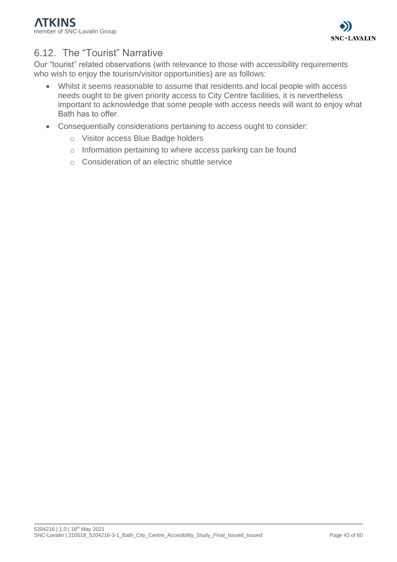

# <span id="page-42-0"></span>6.12. The "Tourist" Narrative

Our "tourist" related observations (with relevance to those with accessibility requirements who wish to enjoy the tourism/visitor opportunities) are as follows:

- Whilst it seems reasonable to assume that residents and local people with access needs ought to be given priority access to City Centre facilities, it is nevertheless important to acknowledge that some people with access needs will want to enjoy what Bath has to offer.
- Consequentially considerations pertaining to access ought to consider:
	- o Visitor access Blue Badge holders
	- o Information pertaining to where access parking can be found
	- o Consideration of an electric shuttle service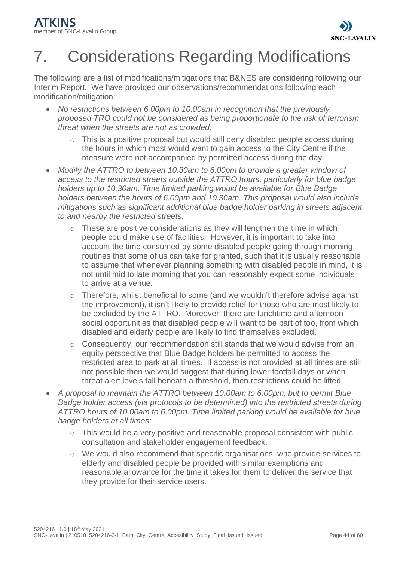

# <span id="page-43-0"></span>7. Considerations Regarding Modifications

The following are a list of modifications/mitigations that B&NES are considering following our Interim Report. We have provided our observations/recommendations following each modification/mitigation:

- *No restrictions between 6.00pm to 10.00am in recognition that the previously proposed TRO could not be considered as being proportionate to the risk of terrorism threat when the streets are not as crowded:*
	- o This is a positive proposal but would still deny disabled people access during the hours in which most would want to gain access to the City Centre if the measure were not accompanied by permitted access during the day.
- *Modify the ATTRO to between 10.30am to 6.00pm to provide a greater window of access to the restricted streets outside the ATTRO hours, particularly for blue badge holders up to 10.30am. Time limited parking would be available for Blue Badge holders between the hours of 6.00pm and 10.30am. This proposal would also include mitigations such as significant additional blue badge holder parking in streets adjacent to and nearby the restricted streets:*
	- $\circ$  These are positive considerations as they will lengthen the time in which people could make use of facilities. However, it is important to take into account the time consumed by some disabled people going through morning routines that some of us can take for granted, such that it is usually reasonable to assume that whenever planning something with disabled people in mind, it is not until mid to late morning that you can reasonably expect some individuals to arrive at a venue.
	- o Therefore, whilst beneficial to some (and we wouldn't therefore advise against the improvement), it isn't likely to provide relief for those who are most likely to be excluded by the ATTRO. Moreover, there are lunchtime and afternoon social opportunities that disabled people will want to be part of too, from which disabled and elderly people are likely to find themselves excluded.
	- $\circ$  Consequently, our recommendation still stands that we would advise from an equity perspective that Blue Badge holders be permitted to access the restricted area to park at all times. If access is not provided at all times are still not possible then we would suggest that during lower footfall days or when threat alert levels fall beneath a threshold, then restrictions could be lifted.
- *A proposal to maintain the ATTRO between 10.00am to 6.00pm, but to permit Blue Badge holder access (via protocols to be determined) into the restricted streets during ATTRO hours of 10.00am to 6.00pm. Time limited parking would be available for blue badge holders at all times:*
	- o This would be a very positive and reasonable proposal consistent with public consultation and stakeholder engagement feedback.
	- o We would also recommend that specific organisations, who provide services to elderly and disabled people be provided with similar exemptions and reasonable allowance for the time it takes for them to deliver the service that they provide for their service users.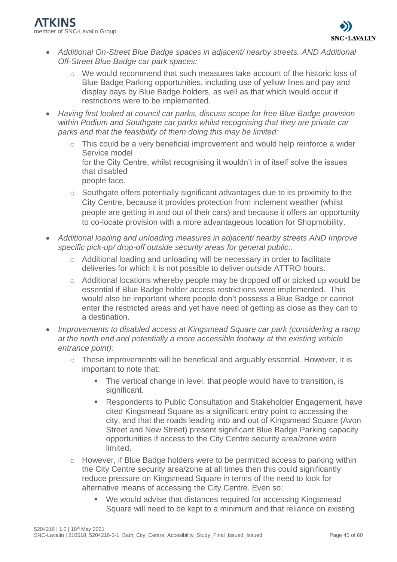

- *Additional On-Street Blue Badge spaces in adjacent/ nearby streets. AND Additional Off-Street Blue Badge car park spaces:*
	- o We would recommend that such measures take account of the historic loss of Blue Badge Parking opportunities, including use of yellow lines and pay and display bays by Blue Badge holders, as well as that which would occur if restrictions were to be implemented.
- *Having first looked at council car parks, discuss scope for free Blue Badge provision within Podium and Southgate car parks whilst recognising that they are private car parks and that the feasibility of them doing this may be limited:*
	- o This could be a very beneficial improvement and would help reinforce a wider Service model for the City Centre, whilst recognising it wouldn't in of itself solve the issues that disabled people face.
	- o Southgate offers potentially significant advantages due to its proximity to the City Centre, because it provides protection from inclement weather (whilst people are getting in and out of their cars) and because it offers an opportunity to co-locate provision with a more advantageous location for Shopmobility.
- *Additional loading and unloading measures in adjacent/ nearby streets AND Improve specific pick-up/ drop-off outside security areas for general public:.*
	- o Additional loading and unloading will be necessary in order to facilitate deliveries for which it is not possible to deliver outside ATTRO hours.
	- o Additional locations whereby people may be dropped off or picked up would be essential if Blue Badge holder access restrictions were implemented. This would also be important where people don't possess a Blue Badge or cannot enter the restricted areas and yet have need of getting as close as they can to a destination.
- *Improvements to disabled access at Kingsmead Square car park (considering a ramp at the north end and potentially a more accessible footway at the existing vehicle entrance point):*
	- o These improvements will be beneficial and arguably essential. However, it is important to note that:
		- The vertical change in level, that people would have to transition, is significant.
		- Respondents to Public Consultation and Stakeholder Engagement, have cited Kingsmead Square as a significant entry point to accessing the city, and that the roads leading into and out of Kingsmead Square (Avon Street and New Street) present significant Blue Badge Parking capacity opportunities if access to the City Centre security area/zone were limited.
	- o However, if Blue Badge holders were to be permitted access to parking within the City Centre security area/zone at all times then this could significantly reduce pressure on Kingsmead Square in terms of the need to look for alternative means of accessing the City Centre. Even so:
		- We would advise that distances required for accessing Kingsmead Square will need to be kept to a minimum and that reliance on existing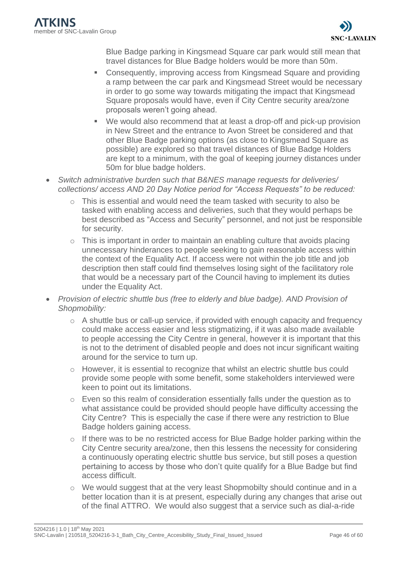Blue Badge parking in Kingsmead Square car park would still mean that travel distances for Blue Badge holders would be more than 50m.

- Consequently, improving access from Kingsmead Square and providing a ramp between the car park and Kingsmead Street would be necessary in order to go some way towards mitigating the impact that Kingsmead Square proposals would have, even if City Centre security area/zone proposals weren't going ahead.
- We would also recommend that at least a drop-off and pick-up provision in New Street and the entrance to Avon Street be considered and that other Blue Badge parking options (as close to Kingsmead Square as possible) are explored so that travel distances of Blue Badge Holders are kept to a minimum, with the goal of keeping journey distances under 50m for blue badge holders.
- *Switch administrative burden such that B&NES manage requests for deliveries/ collections/ access AND 20 Day Notice period for "Access Requests" to be reduced:*
	- o This is essential and would need the team tasked with security to also be tasked with enabling access and deliveries, such that they would perhaps be best described as "Access and Security" personnel, and not just be responsible for security.
	- o This is important in order to maintain an enabling culture that avoids placing unnecessary hinderances to people seeking to gain reasonable access within the context of the Equality Act. If access were not within the job title and job description then staff could find themselves losing sight of the facilitatory role that would be a necessary part of the Council having to implement its duties under the Equality Act.
- *Provision of electric shuttle bus (free to elderly and blue badge). AND Provision of Shopmobility:*
	- $\circ$  A shuttle bus or call-up service, if provided with enough capacity and frequency could make access easier and less stigmatizing, if it was also made available to people accessing the City Centre in general, however it is important that this is not to the detriment of disabled people and does not incur significant waiting around for the service to turn up.
	- $\circ$  However, it is essential to recognize that whilst an electric shuttle bus could provide some people with some benefit, some stakeholders interviewed were keen to point out its limitations.
	- o Even so this realm of consideration essentially falls under the question as to what assistance could be provided should people have difficulty accessing the City Centre? This is especially the case if there were any restriction to Blue Badge holders gaining access.
	- o If there was to be no restricted access for Blue Badge holder parking within the City Centre security area/zone, then this lessens the necessity for considering a continuously operating electric shuttle bus service, but still poses a question pertaining to access by those who don't quite qualify for a Blue Badge but find access difficult.
	- o We would suggest that at the very least Shopmobilty should continue and in a better location than it is at present, especially during any changes that arise out of the final ATTRO. We would also suggest that a service such as dial-a-ride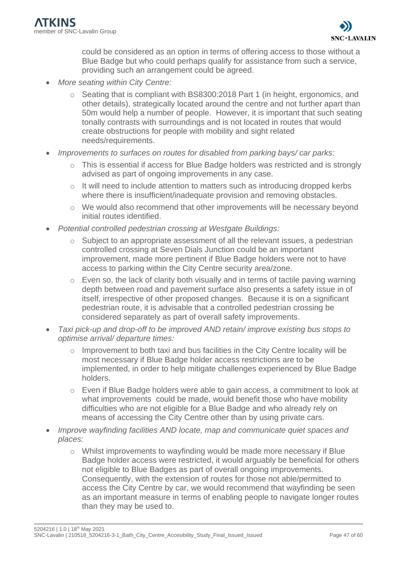could be considered as an option in terms of offering access to those without a Blue Badge but who could perhaps qualify for assistance from such a service, providing such an arrangement could be agreed.

- *More seating within City Centre:*
	- o Seating that is compliant with BS8300:2018 Part 1 (in height, ergonomics, and other details), strategically located around the centre and not further apart than 50m would help a number of people. However, it is important that such seating tonally contrasts with surroundings and is not located in routes that would create obstructions for people with mobility and sight related needs/requirements.
- *Improvements to surfaces on routes for disabled from parking bays/ car parks:*
	- o This is essential if access for Blue Badge holders was restricted and is strongly advised as part of ongoing improvements in any case.
	- o It will need to include attention to matters such as introducing dropped kerbs where there is insufficient/inadequate provision and removing obstacles.
	- o We would also recommend that other improvements will be necessary beyond initial routes identified.
- *Potential controlled pedestrian crossing at Westgate Buildings:*
	- o Subject to an appropriate assessment of all the relevant issues, a pedestrian controlled crossing at Seven Dials Junction could be an important improvement, made more pertinent if Blue Badge holders were not to have access to parking within the City Centre security area/zone.
	- o Even so, the lack of clarity both visually and in terms of tactile paving warning depth between road and pavement surface also presents a safety issue in of itself, irrespective of other proposed changes. Because it is on a significant pedestrian route, it is advisable that a controlled pedestrian crossing be considered separately as part of overall safety improvements.
- *Taxi pick-up and drop-off to be improved AND retain/ improve existing bus stops to optimise arrival/ departure times:*
	- o Improvement to both taxi and bus facilities in the City Centre locality will be most necessary if Blue Badge holder access restrictions are to be implemented, in order to help mitigate challenges experienced by Blue Badge holders.
	- o Even if Blue Badge holders were able to gain access, a commitment to look at what improvements could be made, would benefit those who have mobility difficulties who are not eligible for a Blue Badge and who already rely on means of accessing the City Centre other than by using private cars.
- *Improve wayfinding facilities AND locate, map and communicate quiet spaces and places:*
	- o Whilst improvements to wayfinding would be made more necessary if Blue Badge holder access were restricted, it would arguably be beneficial for others not eligible to Blue Badges as part of overall ongoing improvements. Consequently, with the extension of routes for those not able/permitted to access the City Centre by car, we would recommend that wayfinding be seen as an important measure in terms of enabling people to navigate longer routes than they may be used to.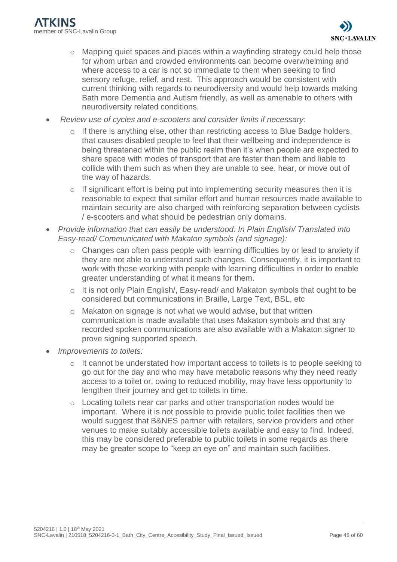- o Mapping quiet spaces and places within a wayfinding strategy could help those for whom urban and crowded environments can become overwhelming and where access to a car is not so immediate to them when seeking to find sensory refuge, relief, and rest. This approach would be consistent with current thinking with regards to neurodiversity and would help towards making Bath more Dementia and Autism friendly, as well as amenable to others with neurodiversity related conditions.
- *Review use of cycles and e-scooters and consider limits if necessary:*
	- $\circ$  If there is anything else, other than restricting access to Blue Badge holders, that causes disabled people to feel that their wellbeing and independence is being threatened within the public realm then it's when people are expected to share space with modes of transport that are faster than them and liable to collide with them such as when they are unable to see, hear, or move out of the way of hazards*.*
	- $\circ$  If significant effort is being put into implementing security measures then it is reasonable to expect that similar effort and human resources made available to maintain security are also charged with reinforcing separation between cyclists / e-scooters and what should be pedestrian only domains.
- *Provide information that can easily be understood: In Plain English/ Translated into Easy-read/ Communicated with Makaton symbols (and signage):*
	- o Changes can often pass people with learning difficulties by or lead to anxiety if they are not able to understand such changes. Consequently, it is important to work with those working with people with learning difficulties in order to enable greater understanding of what it means for them.
	- o It is not only Plain English/, Easy-read/ and Makaton symbols that ought to be considered but communications in Braille, Large Text, BSL, etc
	- o Makaton on signage is not what we would advise, but that written communication is made available that uses Makaton symbols and that any recorded spoken communications are also available with a Makaton signer to prove signing supported speech.
- *Improvements to toilets:*
	- $\circ$  It cannot be understated how important access to toilets is to people seeking to go out for the day and who may have metabolic reasons why they need ready access to a toilet or, owing to reduced mobility, may have less opportunity to lengthen their journey and get to toilets in time.
	- $\circ$  Locating toilets near car parks and other transportation nodes would be important. Where it is not possible to provide public toilet facilities then we would suggest that B&NES partner with retailers, service providers and other venues to make suitably accessible toilets available and easy to find. Indeed, this may be considered preferable to public toilets in some regards as there may be greater scope to "keep an eye on" and maintain such facilities.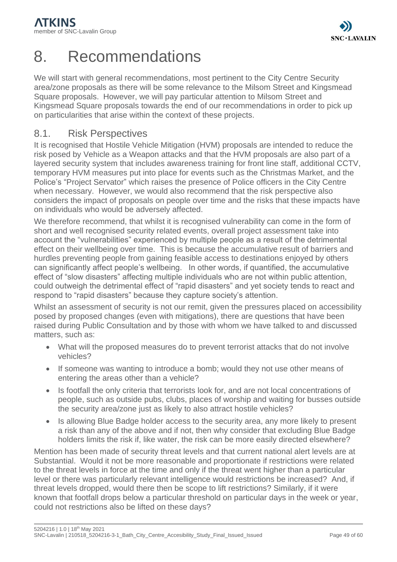

# <span id="page-48-0"></span>8. Recommendations

We will start with general recommendations, most pertinent to the City Centre Security area/zone proposals as there will be some relevance to the Milsom Street and Kingsmead Square proposals. However, we will pay particular attention to Milsom Street and Kingsmead Square proposals towards the end of our recommendations in order to pick up on particularities that arise within the context of these projects.

## <span id="page-48-1"></span>8.1. Risk Perspectives

It is recognised that Hostile Vehicle Mitigation (HVM) proposals are intended to reduce the risk posed by Vehicle as a Weapon attacks and that the HVM proposals are also part of a layered security system that includes awareness training for front line staff, additional CCTV, temporary HVM measures put into place for events such as the Christmas Market, and the Police's "Project Servator" which raises the presence of Police officers in the City Centre when necessary. However, we would also recommend that the risk perspective also considers the impact of proposals on people over time and the risks that these impacts have on individuals who would be adversely affected.

We therefore recommend, that whilst it is recognised vulnerability can come in the form of short and well recognised security related events, overall project assessment take into account the "vulnerabilities" experienced by multiple people as a result of the detrimental effect on their wellbeing over time. This is because the accumulative result of barriers and hurdles preventing people from gaining feasible access to destinations enjoyed by others can significantly affect people's wellbeing. In other words, if quantified, the accumulative effect of "slow disasters" affecting multiple individuals who are not within public attention, could outweigh the detrimental effect of "rapid disasters" and yet society tends to react and respond to "rapid disasters" because they capture society's attention.

Whilst an assessment of security is not our remit, given the pressures placed on accessibility posed by proposed changes (even with mitigations), there are questions that have been raised during Public Consultation and by those with whom we have talked to and discussed matters, such as:

- What will the proposed measures do to prevent terrorist attacks that do not involve vehicles?
- If someone was wanting to introduce a bomb; would they not use other means of entering the areas other than a vehicle?
- Is footfall the only criteria that terrorists look for, and are not local concentrations of people, such as outside pubs, clubs, places of worship and waiting for busses outside the security area/zone just as likely to also attract hostile vehicles?
- Is allowing Blue Badge holder access to the security area, any more likely to present a risk than any of the above and if not, then why consider that excluding Blue Badge holders limits the risk if, like water, the risk can be more easily directed elsewhere?

Mention has been made of security threat levels and that current national alert levels are at Substantial. Would it not be more reasonable and proportionate if restrictions were related to the threat levels in force at the time and only if the threat went higher than a particular level or there was particularly relevant intelligence would restrictions be increased? And, if threat levels dropped, would there then be scope to lift restrictions? Similarly, if it were known that footfall drops below a particular threshold on particular days in the week or year, could not restrictions also be lifted on these days?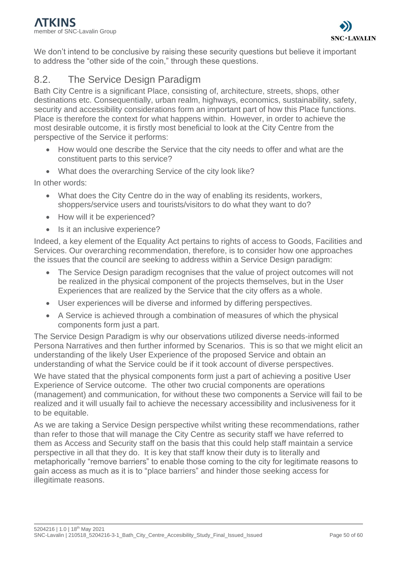

We don't intend to be conclusive by raising these security questions but believe it important to address the "other side of the coin," through these questions.

# <span id="page-49-0"></span>8.2. The Service Design Paradigm

Bath City Centre is a significant Place, consisting of, architecture, streets, shops, other destinations etc. Consequentially, urban realm, highways, economics, sustainability, safety, security and accessibility considerations form an important part of how this Place functions. Place is therefore the context for what happens within. However, in order to achieve the most desirable outcome, it is firstly most beneficial to look at the City Centre from the perspective of the Service it performs:

- How would one describe the Service that the city needs to offer and what are the constituent parts to this service?
- What does the overarching Service of the city look like?

In other words:

- What does the City Centre do in the way of enabling its residents, workers, shoppers/service users and tourists/visitors to do what they want to do?
- How will it be experienced?
- Is it an inclusive experience?

Indeed, a key element of the Equality Act pertains to rights of access to Goods, Facilities and Services. Our overarching recommendation, therefore, is to consider how one approaches the issues that the council are seeking to address within a Service Design paradigm:

- The Service Design paradigm recognises that the value of project outcomes will not be realized in the physical component of the projects themselves, but in the User Experiences that are realized by the Service that the city offers as a whole.
- User experiences will be diverse and informed by differing perspectives.
- A Service is achieved through a combination of measures of which the physical components form just a part.

The Service Design Paradigm is why our observations utilized diverse needs-informed Persona Narratives and then further informed by Scenarios. This is so that we might elicit an understanding of the likely User Experience of the proposed Service and obtain an understanding of what the Service could be if it took account of diverse perspectives.

We have stated that the physical components form just a part of achieving a positive User Experience of Service outcome. The other two crucial components are operations (management) and communication, for without these two components a Service will fail to be realized and it will usually fail to achieve the necessary accessibility and inclusiveness for it to be equitable.

As we are taking a Service Design perspective whilst writing these recommendations, rather than refer to those that will manage the City Centre as security staff we have referred to them as Access and Security staff on the basis that this could help staff maintain a service perspective in all that they do. It is key that staff know their duty is to literally and metaphorically "remove barriers" to enable those coming to the city for legitimate reasons to gain access as much as it is to "place barriers" and hinder those seeking access for illegitimate reasons.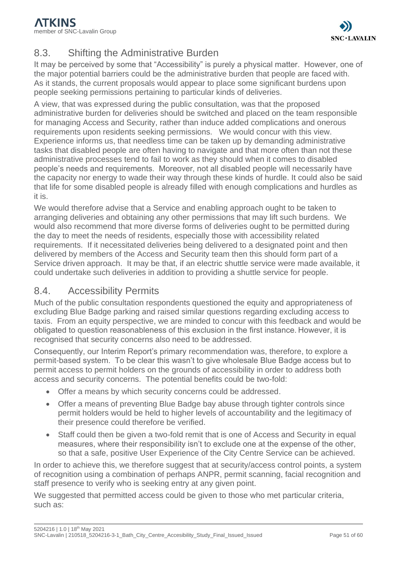

# <span id="page-50-0"></span>8.3. Shifting the Administrative Burden

It may be perceived by some that "Accessibility" is purely a physical matter. However, one of the major potential barriers could be the administrative burden that people are faced with. As it stands, the current proposals would appear to place some significant burdens upon people seeking permissions pertaining to particular kinds of deliveries.

A view, that was expressed during the public consultation, was that the proposed administrative burden for deliveries should be switched and placed on the team responsible for managing Access and Security, rather than induce added complications and onerous requirements upon residents seeking permissions. We would concur with this view. Experience informs us, that needless time can be taken up by demanding administrative tasks that disabled people are often having to navigate and that more often than not these administrative processes tend to fail to work as they should when it comes to disabled people's needs and requirements. Moreover, not all disabled people will necessarily have the capacity nor energy to wade their way through these kinds of hurdle. It could also be said that life for some disabled people is already filled with enough complications and hurdles as it is.

We would therefore advise that a Service and enabling approach ought to be taken to arranging deliveries and obtaining any other permissions that may lift such burdens. We would also recommend that more diverse forms of deliveries ought to be permitted during the day to meet the needs of residents, especially those with accessibility related requirements. If it necessitated deliveries being delivered to a designated point and then delivered by members of the Access and Security team then this should form part of a Service driven approach. It may be that, if an electric shuttle service were made available, it could undertake such deliveries in addition to providing a shuttle service for people.

# <span id="page-50-1"></span>8.4. Accessibility Permits

Much of the public consultation respondents questioned the equity and appropriateness of excluding Blue Badge parking and raised similar questions regarding excluding access to taxis. From an equity perspective, we are minded to concur with this feedback and would be obligated to question reasonableness of this exclusion in the first instance. However, it is recognised that security concerns also need to be addressed.

Consequently, our Interim Report's primary recommendation was, therefore, to explore a permit-based system. To be clear this wasn't to give wholesale Blue Badge access but to permit access to permit holders on the grounds of accessibility in order to address both access and security concerns. The potential benefits could be two-fold:

- Offer a means by which security concerns could be addressed.
- Offer a means of preventing Blue Badge bay abuse through tighter controls since permit holders would be held to higher levels of accountability and the legitimacy of their presence could therefore be verified.
- Staff could then be given a two-fold remit that is one of Access and Security in equal measures, where their responsibility isn't to exclude one at the expense of the other, so that a safe, positive User Experience of the City Centre Service can be achieved.

In order to achieve this, we therefore suggest that at security/access control points, a system of recognition using a combination of perhaps ANPR, permit scanning, facial recognition and staff presence to verify who is seeking entry at any given point.

We suggested that permitted access could be given to those who met particular criteria. such as: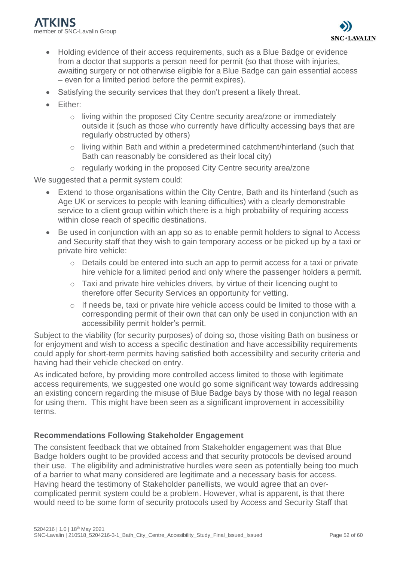- Holding evidence of their access requirements, such as a Blue Badge or evidence from a doctor that supports a person need for permit (so that those with injuries, awaiting surgery or not otherwise eligible for a Blue Badge can gain essential access – even for a limited period before the permit expires).
- Satisfying the security services that they don't present a likely threat.
- Either:
	- o living within the proposed City Centre security area/zone or immediately outside it (such as those who currently have difficulty accessing bays that are regularly obstructed by others)
	- o living within Bath and within a predetermined catchment/hinterland (such that Bath can reasonably be considered as their local city)
	- o regularly working in the proposed City Centre security area/zone

We suggested that a permit system could:

- Extend to those organisations within the City Centre, Bath and its hinterland (such as Age UK or services to people with leaning difficulties) with a clearly demonstrable service to a client group within which there is a high probability of requiring access within close reach of specific destinations.
- Be used in conjunction with an app so as to enable permit holders to signal to Access and Security staff that they wish to gain temporary access or be picked up by a taxi or private hire vehicle:
	- o Details could be entered into such an app to permit access for a taxi or private hire vehicle for a limited period and only where the passenger holders a permit.
	- o Taxi and private hire vehicles drivers, by virtue of their licencing ought to therefore offer Security Services an opportunity for vetting.
	- o If needs be, taxi or private hire vehicle access could be limited to those with a corresponding permit of their own that can only be used in conjunction with an accessibility permit holder's permit.

Subject to the viability (for security purposes) of doing so, those visiting Bath on business or for enjoyment and wish to access a specific destination and have accessibility requirements could apply for short-term permits having satisfied both accessibility and security criteria and having had their vehicle checked on entry.

As indicated before, by providing more controlled access limited to those with legitimate access requirements, we suggested one would go some significant way towards addressing an existing concern regarding the misuse of Blue Badge bays by those with no legal reason for using them. This might have been seen as a significant improvement in accessibility terms.

## **Recommendations Following Stakeholder Engagement**

The consistent feedback that we obtained from Stakeholder engagement was that Blue Badge holders ought to be provided access and that security protocols be devised around their use. The eligibility and administrative hurdles were seen as potentially being too much of a barrier to what many considered are legitimate and a necessary basis for access. Having heard the testimony of Stakeholder panellists, we would agree that an overcomplicated permit system could be a problem. However, what is apparent, is that there would need to be some form of security protocols used by Access and Security Staff that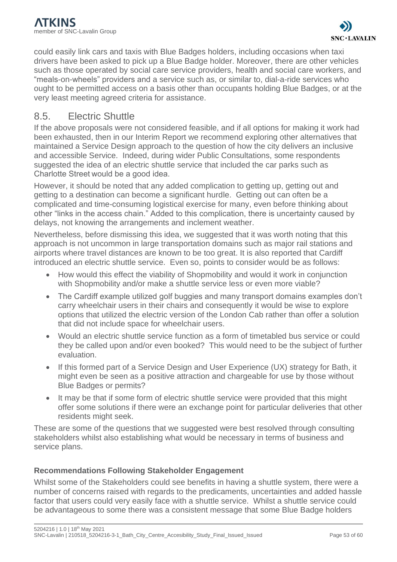could easily link cars and taxis with Blue Badges holders, including occasions when taxi drivers have been asked to pick up a Blue Badge holder. Moreover, there are other vehicles such as those operated by social care service providers, health and social care workers, and "meals-on-wheels" providers and a service such as, or similar to, dial-a-ride services who ought to be permitted access on a basis other than occupants holding Blue Badges, or at the very least meeting agreed criteria for assistance.

## <span id="page-52-0"></span>8.5. Electric Shuttle

If the above proposals were not considered feasible, and if all options for making it work had been exhausted, then in our Interim Report we recommend exploring other alternatives that maintained a Service Design approach to the question of how the city delivers an inclusive and accessible Service. Indeed, during wider Public Consultations, some respondents suggested the idea of an electric shuttle service that included the car parks such as Charlotte Street would be a good idea.

However, it should be noted that any added complication to getting up, getting out and getting to a destination can become a significant hurdle. Getting out can often be a complicated and time-consuming logistical exercise for many, even before thinking about other "links in the access chain." Added to this complication, there is uncertainty caused by delays, not knowing the arrangements and inclement weather.

Nevertheless, before dismissing this idea, we suggested that it was worth noting that this approach is not uncommon in large transportation domains such as major rail stations and airports where travel distances are known to be too great. It is also reported that Cardiff introduced an electric shuttle service. Even so, points to consider would be as follows:

- How would this effect the viability of Shopmobility and would it work in conjunction with Shopmobility and/or make a shuttle service less or even more viable?
- The Cardiff example utilized golf buggies and many transport domains examples don't carry wheelchair users in their chairs and consequently it would be wise to explore options that utilized the electric version of the London Cab rather than offer a solution that did not include space for wheelchair users.
- Would an electric shuttle service function as a form of timetabled bus service or could they be called upon and/or even booked? This would need to be the subject of further evaluation.
- If this formed part of a Service Design and User Experience (UX) strategy for Bath, it might even be seen as a positive attraction and chargeable for use by those without Blue Badges or permits?
- It may be that if some form of electric shuttle service were provided that this might offer some solutions if there were an exchange point for particular deliveries that other residents might seek.

These are some of the questions that we suggested were best resolved through consulting stakeholders whilst also establishing what would be necessary in terms of business and service plans.

## **Recommendations Following Stakeholder Engagement**

Whilst some of the Stakeholders could see benefits in having a shuttle system, there were a number of concerns raised with regards to the predicaments, uncertainties and added hassle factor that users could very easily face with a shuttle service. Whilst a shuttle service could be advantageous to some there was a consistent message that some Blue Badge holders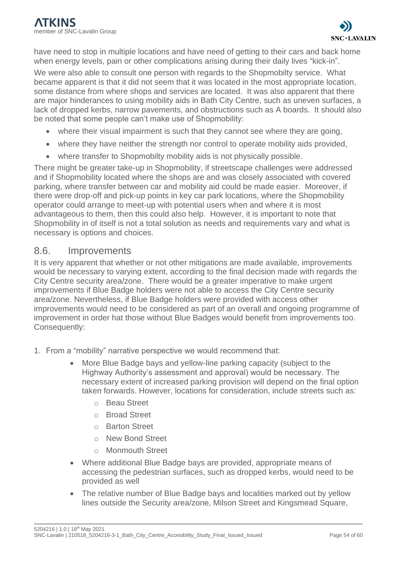have need to stop in multiple locations and have need of getting to their cars and back home when energy levels, pain or other complications arising during their daily lives "kick-in".

We were also able to consult one person with regards to the Shopmobilty service. What became apparent is that it did not seem that it was located in the most appropriate location, some distance from where shops and services are located. It was also apparent that there are major hinderances to using mobility aids in Bath City Centre, such as uneven surfaces, a lack of dropped kerbs, narrow pavements, and obstructions such as A boards. It should also be noted that some people can't make use of Shopmobility:

- where their visual impairment is such that they cannot see where they are going,
- where they have neither the strength nor control to operate mobility aids provided,
- where transfer to Shopmobilty mobility aids is not physically possible.

There might be greater take-up in Shopmobility, if streetscape challenges were addressed and if Shopmobility located where the shops are and was closely associated with covered parking, where transfer between car and mobility aid could be made easier. Moreover, if there were drop-off and pick-up points in key car park locations, where the Shopmobility operator could arrange to meet-up with potential users when and where it is most advantageous to them, then this could also help. However, it is important to note that Shopmobility in of itself is not a total solution as needs and requirements vary and what is necessary is options and choices.

## <span id="page-53-0"></span>8.6. Improvements

It is very apparent that whether or not other mitigations are made available, improvements would be necessary to varying extent, according to the final decision made with regards the City Centre security area/zone. There would be a greater imperative to make urgent improvements if Blue Badge holders were not able to access the City Centre security area/zone. Nevertheless, if Blue Badge holders were provided with access other improvements would need to be considered as part of an overall and ongoing programme of improvement in order hat those without Blue Badges would benefit from improvements too. Consequently:

- 1. From a "mobility" narrative perspective we would recommend that:
	- More Blue Badge bays and yellow-line parking capacity (subject to the Highway Authority's assessment and approval) would be necessary. The necessary extent of increased parking provision will depend on the final option taken forwards. However, locations for consideration, include streets such as:
		- o Beau Street
		- o Broad Street
		- o Barton Street
		- o New Bond Street
		- o Monmouth Street
	- Where additional Blue Badge bays are provided, appropriate means of accessing the pedestrian surfaces, such as dropped kerbs, would need to be provided as well
	- The relative number of Blue Badge bays and localities marked out by yellow lines outside the Security area/zone, Milson Street and Kingsmead Square,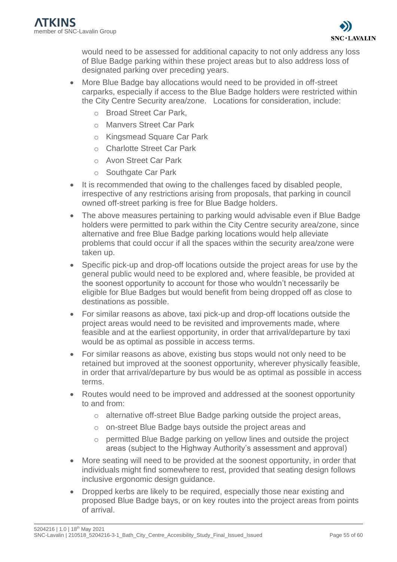would need to be assessed for additional capacity to not only address any loss of Blue Badge parking within these project areas but to also address loss of designated parking over preceding years.

- More Blue Badge bay allocations would need to be provided in off-street carparks, especially if access to the Blue Badge holders were restricted within the City Centre Security area/zone. Locations for consideration, include:
	- o Broad Street Car Park,
	- o Manvers Street Car Park
	- o Kingsmead Square Car Park
	- o Charlotte Street Car Park
	- o Avon Street Car Park
	- o Southgate Car Park
- It is recommended that owing to the challenges faced by disabled people, irrespective of any restrictions arising from proposals, that parking in council owned off-street parking is free for Blue Badge holders.
- The above measures pertaining to parking would advisable even if Blue Badge holders were permitted to park within the City Centre security area/zone, since alternative and free Blue Badge parking locations would help alleviate problems that could occur if all the spaces within the security area/zone were taken up.
- Specific pick-up and drop-off locations outside the project areas for use by the general public would need to be explored and, where feasible, be provided at the soonest opportunity to account for those who wouldn't necessarily be eligible for Blue Badges but would benefit from being dropped off as close to destinations as possible.
- For similar reasons as above, taxi pick-up and drop-off locations outside the project areas would need to be revisited and improvements made, where feasible and at the earliest opportunity, in order that arrival/departure by taxi would be as optimal as possible in access terms.
- For similar reasons as above, existing bus stops would not only need to be retained but improved at the soonest opportunity, wherever physically feasible, in order that arrival/departure by bus would be as optimal as possible in access terms.
- Routes would need to be improved and addressed at the soonest opportunity to and from:
	- o alternative off-street Blue Badge parking outside the project areas,
	- o on-street Blue Badge bays outside the project areas and
	- o permitted Blue Badge parking on yellow lines and outside the project areas (subject to the Highway Authority's assessment and approval)
- More seating will need to be provided at the soonest opportunity, in order that individuals might find somewhere to rest, provided that seating design follows inclusive ergonomic design guidance.
- Dropped kerbs are likely to be required, especially those near existing and proposed Blue Badge bays, or on key routes into the project areas from points of arrival.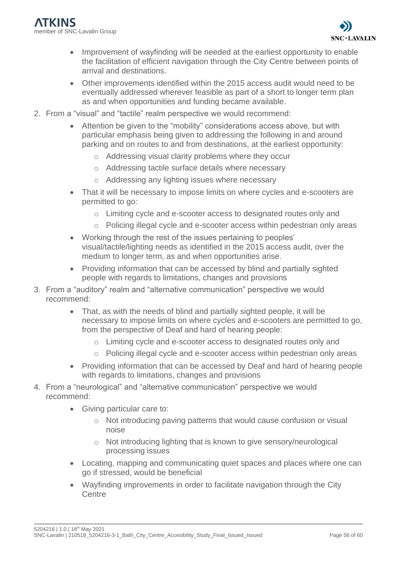

- Improvement of wayfinding will be needed at the earliest opportunity to enable the facilitation of efficient navigation through the City Centre between points of arrival and destinations.
- Other improvements identified within the 2015 access audit would need to be eventually addressed wherever feasible as part of a short to longer term plan as and when opportunities and funding became available.
- 2. From a "visual" and "tactile" realm perspective we would recommend:
	- Attention be given to the "mobility" considerations access above, but with particular emphasis being given to addressing the following in and around parking and on routes to and from destinations, at the earliest opportunity:
		- o Addressing visual clarity problems where they occur
		- o Addressing tactile surface details where necessary
		- o Addressing any lighting issues where necessary
	- That it will be necessary to impose limits on where cycles and e-scooters are permitted to go:
		- o Limiting cycle and e-scooter access to designated routes only and
		- o Policing illegal cycle and e-scooter access within pedestrian only areas
	- Working through the rest of the issues pertaining to peoples' visual/tactile/lighting needs as identified in the 2015 access audit, over the medium to longer term, as and when opportunities arise.
	- Providing information that can be accessed by blind and partially sighted people with regards to limitations, changes and provisions
- 3. From a "auditory" realm and "alternative communication" perspective we would recommend:
	- That, as with the needs of blind and partially sighted people, it will be necessary to impose limits on where cycles and e-scooters are permitted to go, from the perspective of Deaf and hard of hearing people:
		- o Limiting cycle and e-scooter access to designated routes only and
		- o Policing illegal cycle and e-scooter access within pedestrian only areas
	- Providing information that can be accessed by Deaf and hard of hearing people with regards to limitations, changes and provisions
- 4. From a "neurological" and "alternative communication" perspective we would recommend:
	- Giving particular care to:
		- o Not introducing paving patterns that would cause confusion or visual noise
		- o Not introducing lighting that is known to give sensory/neurological processing issues
	- Locating, mapping and communicating quiet spaces and places where one can go if stressed, would be beneficial
	- Wayfinding improvements in order to facilitate navigation through the City **Centre**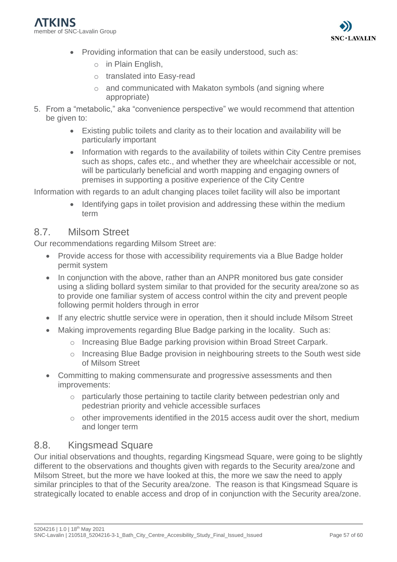

- Providing information that can be easily understood, such as:
	- o in Plain English,
	- o translated into Easy-read
	- o and communicated with Makaton symbols (and signing where appropriate)
- 5. From a "metabolic," aka "convenience perspective" we would recommend that attention be given to:
	- Existing public toilets and clarity as to their location and availability will be particularly important
	- Information with regards to the availability of toilets within City Centre premises such as shops, cafes etc., and whether they are wheelchair accessible or not, will be particularly beneficial and worth mapping and engaging owners of premises in supporting a positive experience of the City Centre

Information with regards to an adult changing places toilet facility will also be important

• Identifying gaps in toilet provision and addressing these within the medium term

## <span id="page-56-0"></span>8.7. Milsom Street

Our recommendations regarding Milsom Street are:

- Provide access for those with accessibility requirements via a Blue Badge holder permit system
- In conjunction with the above, rather than an ANPR monitored bus gate consider using a sliding bollard system similar to that provided for the security area/zone so as to provide one familiar system of access control within the city and prevent people following permit holders through in error
- If any electric shuttle service were in operation, then it should include Milsom Street
- Making improvements regarding Blue Badge parking in the locality. Such as:
	- $\circ$  Increasing Blue Badge parking provision within Broad Street Carpark.
	- o Increasing Blue Badge provision in neighbouring streets to the South west side of Milsom Street
- Committing to making commensurate and progressive assessments and then improvements:
	- $\circ$  particularly those pertaining to tactile clarity between pedestrian only and pedestrian priority and vehicle accessible surfaces
	- $\circ$  other improvements identified in the 2015 access audit over the short, medium and longer term

## <span id="page-56-1"></span>8.8. Kingsmead Square

Our initial observations and thoughts, regarding Kingsmead Square, were going to be slightly different to the observations and thoughts given with regards to the Security area/zone and Milsom Street, but the more we have looked at this, the more we saw the need to apply similar principles to that of the Security area/zone. The reason is that Kingsmead Square is strategically located to enable access and drop of in conjunction with the Security area/zone.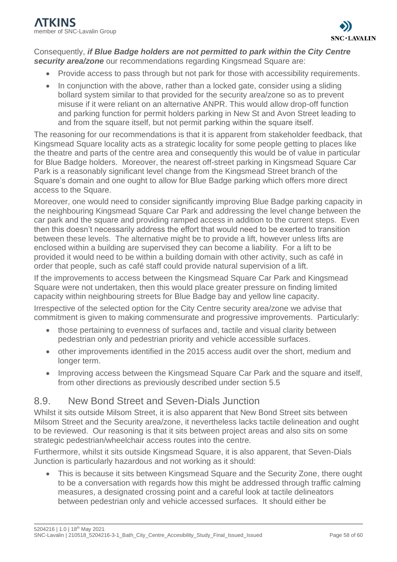### Consequently, *if Blue Badge holders are not permitted to park within the City Centre security area/zone* our recommendations regarding Kingsmead Square are:

- Provide access to pass through but not park for those with accessibility requirements.
- In conjunction with the above, rather than a locked gate, consider using a sliding bollard system similar to that provided for the security area/zone so as to prevent misuse if it were reliant on an alternative ANPR. This would allow drop-off function and parking function for permit holders parking in New St and Avon Street leading to and from the square itself, but not permit parking within the square itself.

The reasoning for our recommendations is that it is apparent from stakeholder feedback, that Kingsmead Square locality acts as a strategic locality for some people getting to places like the theatre and parts of the centre area and consequently this would be of value in particular for Blue Badge holders. Moreover, the nearest off-street parking in Kingsmead Square Car Park is a reasonably significant level change from the Kingsmead Street branch of the Square's domain and one ought to allow for Blue Badge parking which offers more direct access to the Square.

Moreover, one would need to consider significantly improving Blue Badge parking capacity in the neighbouring Kingsmead Square Car Park and addressing the level change between the car park and the square and providing ramped access in addition to the current steps. Even then this doesn't necessarily address the effort that would need to be exerted to transition between these levels. The alternative might be to provide a lift, however unless lifts are enclosed within a building are supervised they can become a liability. For a lift to be provided it would need to be within a building domain with other activity, such as café in order that people, such as café staff could provide natural supervision of a lift.

If the improvements to access between the Kingsmead Square Car Park and Kingsmead Square were not undertaken, then this would place greater pressure on finding limited capacity within neighbouring streets for Blue Badge bay and yellow line capacity.

Irrespective of the selected option for the City Centre security area/zone we advise that commitment is given to making commensurate and progressive improvements. Particularly:

- those pertaining to evenness of surfaces and, tactile and visual clarity between pedestrian only and pedestrian priority and vehicle accessible surfaces.
- other improvements identified in the 2015 access audit over the short, medium and longer term.
- Improving access between the Kingsmead Square Car Park and the square and itself, from other directions as previously described under section 5.5

# <span id="page-57-0"></span>8.9. New Bond Street and Seven-Dials Junction

Whilst it sits outside Milsom Street, it is also apparent that New Bond Street sits between Milsom Street and the Security area/zone, it nevertheless lacks tactile delineation and ought to be reviewed. Our reasoning is that it sits between project areas and also sits on some strategic pedestrian/wheelchair access routes into the centre.

Furthermore, whilst it sits outside Kingsmead Square, it is also apparent, that Seven-Dials Junction is particularly hazardous and not working as it should:

• This is because it sits between Kingsmead Square and the Security Zone, there ought to be a conversation with regards how this might be addressed through traffic calming measures, a designated crossing point and a careful look at tactile delineators between pedestrian only and vehicle accessed surfaces. It should either be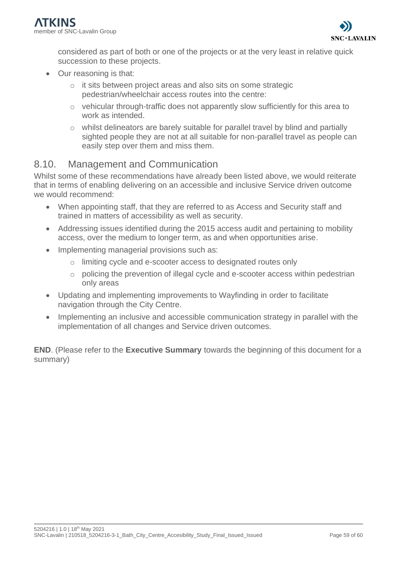

considered as part of both or one of the projects or at the very least in relative quick succession to these projects.

- Our reasoning is that:
	- o it sits between project areas and also sits on some strategic pedestrian/wheelchair access routes into the centre:
	- o vehicular through-traffic does not apparently slow sufficiently for this area to work as intended.
	- o whilst delineators are barely suitable for parallel travel by blind and partially sighted people they are not at all suitable for non-parallel travel as people can easily step over them and miss them.

## <span id="page-58-0"></span>8.10. Management and Communication

Whilst some of these recommendations have already been listed above, we would reiterate that in terms of enabling delivering on an accessible and inclusive Service driven outcome we would recommend:

- When appointing staff, that they are referred to as Access and Security staff and trained in matters of accessibility as well as security.
- Addressing issues identified during the 2015 access audit and pertaining to mobility access, over the medium to longer term, as and when opportunities arise.
- Implementing managerial provisions such as:
	- o limiting cycle and e-scooter access to designated routes only
	- o policing the prevention of illegal cycle and e-scooter access within pedestrian only areas
- Updating and implementing improvements to Wayfinding in order to facilitate navigation through the City Centre.
- Implementing an inclusive and accessible communication strategy in parallel with the implementation of all changes and Service driven outcomes.

**END**. (Please refer to the **Executive Summary** towards the beginning of this document for a summary)